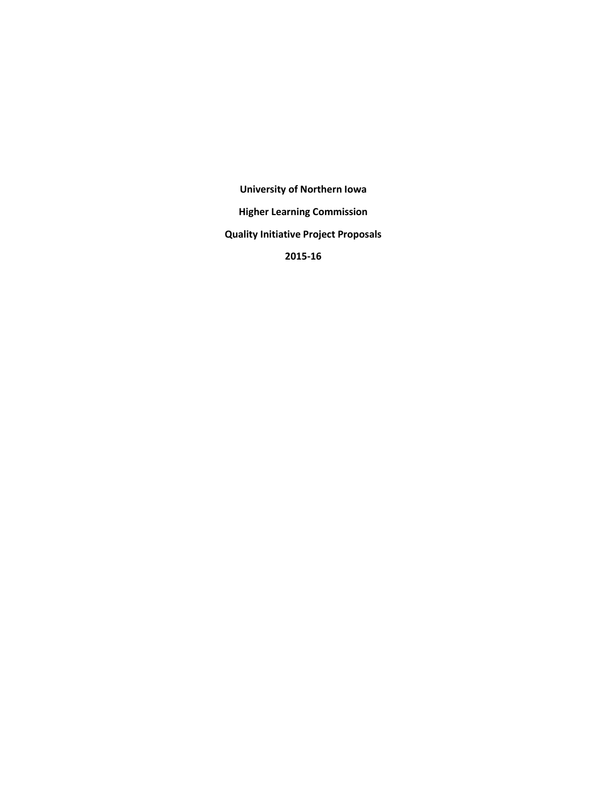**University of Northern Iowa Higher Learning Commission Quality Initiative Project Proposals 2015-16**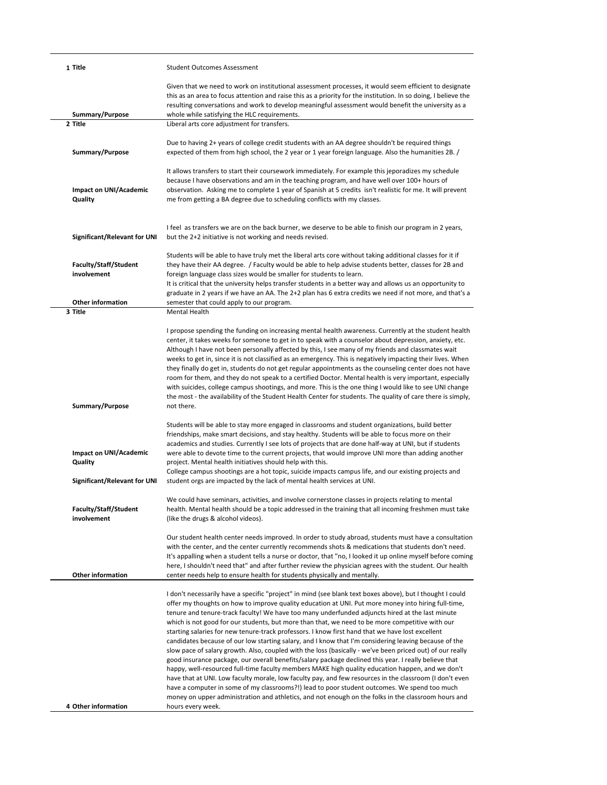| 1 Title                                                           | <b>Student Outcomes Assessment</b>                                                                                                                                                                                                                                                                                                                                                                                                                                                                                                                                                                                                                                                                                                                                                                                                                                                                                                                                                                                                                                                                                                                                       |
|-------------------------------------------------------------------|--------------------------------------------------------------------------------------------------------------------------------------------------------------------------------------------------------------------------------------------------------------------------------------------------------------------------------------------------------------------------------------------------------------------------------------------------------------------------------------------------------------------------------------------------------------------------------------------------------------------------------------------------------------------------------------------------------------------------------------------------------------------------------------------------------------------------------------------------------------------------------------------------------------------------------------------------------------------------------------------------------------------------------------------------------------------------------------------------------------------------------------------------------------------------|
| Summary/Purpose                                                   | Given that we need to work on institutional assessment processes, it would seem efficient to designate<br>this as an area to focus attention and raise this as a priority for the institution. In so doing, I believe the<br>resulting conversations and work to develop meaningful assessment would benefit the university as a<br>whole while satisfying the HLC requirements.                                                                                                                                                                                                                                                                                                                                                                                                                                                                                                                                                                                                                                                                                                                                                                                         |
| 2 Title                                                           | Liberal arts core adjustment for transfers.                                                                                                                                                                                                                                                                                                                                                                                                                                                                                                                                                                                                                                                                                                                                                                                                                                                                                                                                                                                                                                                                                                                              |
| Summary/Purpose                                                   | Due to having 2+ years of college credit students with an AA degree shouldn't be required things<br>expected of them from high school, the 2 year or 1 year foreign language. Also the humanities 2B. /                                                                                                                                                                                                                                                                                                                                                                                                                                                                                                                                                                                                                                                                                                                                                                                                                                                                                                                                                                  |
| Impact on UNI/Academic<br>Quality                                 | It allows transfers to start their coursework immediately. For example this jeporadizes my schedule<br>because I have observations and am in the teaching program, and have well over 100+ hours of<br>observation. Asking me to complete 1 year of Spanish at 5 credits isn't realistic for me. It will prevent<br>me from getting a BA degree due to scheduling conflicts with my classes.                                                                                                                                                                                                                                                                                                                                                                                                                                                                                                                                                                                                                                                                                                                                                                             |
| Significant/Relevant for UNI                                      | I feel as transfers we are on the back burner, we deserve to be able to finish our program in 2 years,<br>but the 2+2 initiative is not working and needs revised.                                                                                                                                                                                                                                                                                                                                                                                                                                                                                                                                                                                                                                                                                                                                                                                                                                                                                                                                                                                                       |
| <b>Faculty/Staff/Student</b><br>involvement                       | Students will be able to have truly met the liberal arts core without taking additional classes for it if<br>they have their AA degree. / Faculty would be able to help advise students better, classes for 2B and<br>foreign language class sizes would be smaller for students to learn.                                                                                                                                                                                                                                                                                                                                                                                                                                                                                                                                                                                                                                                                                                                                                                                                                                                                               |
| <b>Other information</b>                                          | It is critical that the university helps transfer students in a better way and allows us an opportunity to<br>graduate in 2 years if we have an AA. The 2+2 plan has 6 extra credits we need if not more, and that's a<br>semester that could apply to our program.                                                                                                                                                                                                                                                                                                                                                                                                                                                                                                                                                                                                                                                                                                                                                                                                                                                                                                      |
| 3 Title                                                           | Mental Health                                                                                                                                                                                                                                                                                                                                                                                                                                                                                                                                                                                                                                                                                                                                                                                                                                                                                                                                                                                                                                                                                                                                                            |
| Summary/Purpose                                                   | I propose spending the funding on increasing mental health awareness. Currently at the student health<br>center, it takes weeks for someone to get in to speak with a counselor about depression, anxiety, etc.<br>Although I have not been personally affected by this, I see many of my friends and classmates wait<br>weeks to get in, since it is not classified as an emergency. This is negatively impacting their lives. When<br>they finally do get in, students do not get regular appointments as the counseling center does not have<br>room for them, and they do not speak to a certified Doctor. Mental health is very important, especially<br>with suicides, college campus shootings, and more. This is the one thing I would like to see UNI change<br>the most - the availability of the Student Health Center for students. The quality of care there is simply,<br>not there.                                                                                                                                                                                                                                                                       |
| Impact on UNI/Academic<br>Quality<br>Significant/Relevant for UNI | Students will be able to stay more engaged in classrooms and student organizations, build better<br>friendships, make smart decisions, and stay healthy. Students will be able to focus more on their<br>academics and studies. Currently I see lots of projects that are done half-way at UNI, but if students<br>were able to devote time to the current projects, that would improve UNI more than adding another<br>project. Mental health initiatives should help with this.<br>College campus shootings are a hot topic, suicide impacts campus life, and our existing projects and<br>student orgs are impacted by the lack of mental health services at UNI.                                                                                                                                                                                                                                                                                                                                                                                                                                                                                                     |
| Faculty/Staff/Student<br>involvement                              | We could have seminars, activities, and involve cornerstone classes in projects relating to mental<br>health. Mental health should be a topic addressed in the training that all incoming freshmen must take<br>(like the drugs & alcohol videos).                                                                                                                                                                                                                                                                                                                                                                                                                                                                                                                                                                                                                                                                                                                                                                                                                                                                                                                       |
| <b>Other information</b>                                          | Our student health center needs improved. In order to study abroad, students must have a consultation<br>with the center, and the center currently recommends shots & medications that students don't need.<br>It's appalling when a student tells a nurse or doctor, that "no, I looked it up online myself before coming<br>here, I shouldn't need that" and after further review the physician agrees with the student. Our health<br>center needs help to ensure health for students physically and mentally.                                                                                                                                                                                                                                                                                                                                                                                                                                                                                                                                                                                                                                                        |
|                                                                   | I don't necessarily have a specific "project" in mind (see blank text boxes above), but I thought I could<br>offer my thoughts on how to improve quality education at UNI. Put more money into hiring full-time,<br>tenure and tenure-track faculty! We have too many underfunded adjuncts hired at the last minute<br>which is not good for our students, but more than that, we need to be more competitive with our<br>starting salaries for new tenure-track professors. I know first hand that we have lost excellent<br>candidates because of our low starting salary, and I know that I'm considering leaving because of the<br>slow pace of salary growth. Also, coupled with the loss (basically - we've been priced out) of our really<br>good insurance package, our overall benefits/salary package declined this year. I really believe that<br>happy, well-resourced full-time faculty members MAKE high quality education happen, and we don't<br>have that at UNI. Low faculty morale, low faculty pay, and few resources in the classroom (I don't even<br>have a computer in some of my classrooms?!) lead to poor student outcomes. We spend too much |
| 4 Other information                                               | money on upper administration and athletics, and not enough on the folks in the classroom hours and<br>hours every week.                                                                                                                                                                                                                                                                                                                                                                                                                                                                                                                                                                                                                                                                                                                                                                                                                                                                                                                                                                                                                                                 |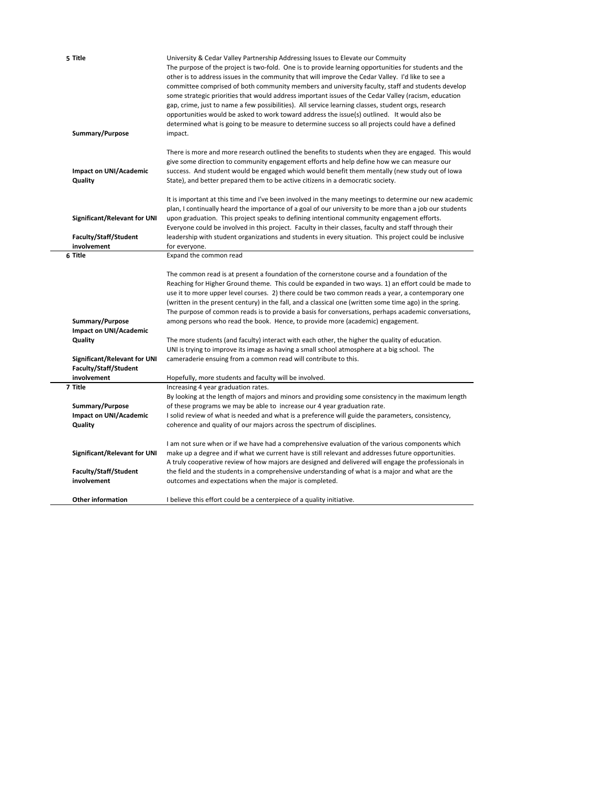| 5 Title                                                                 | University & Cedar Valley Partnership Addressing Issues to Elevate our Commuity<br>The purpose of the project is two-fold. One is to provide learning opportunities for students and the<br>other is to address issues in the community that will improve the Cedar Valley. I'd like to see a<br>committee comprised of both community members and university faculty, staff and students develop<br>some strategic priorities that would address important issues of the Cedar Valley (racism, education<br>gap, crime, just to name a few possibilities). All service learning classes, student orgs, research<br>opportunities would be asked to work toward address the issue(s) outlined. It would also be<br>determined what is going to be measure to determine success so all projects could have a defined |
|-------------------------------------------------------------------------|---------------------------------------------------------------------------------------------------------------------------------------------------------------------------------------------------------------------------------------------------------------------------------------------------------------------------------------------------------------------------------------------------------------------------------------------------------------------------------------------------------------------------------------------------------------------------------------------------------------------------------------------------------------------------------------------------------------------------------------------------------------------------------------------------------------------|
| Summary/Purpose                                                         | impact.                                                                                                                                                                                                                                                                                                                                                                                                                                                                                                                                                                                                                                                                                                                                                                                                             |
| Impact on UNI/Academic<br>Quality                                       | There is more and more research outlined the benefits to students when they are engaged. This would<br>give some direction to community engagement efforts and help define how we can measure our<br>success. And student would be engaged which would benefit them mentally (new study out of lowa<br>State), and better prepared them to be active citizens in a democratic society.                                                                                                                                                                                                                                                                                                                                                                                                                              |
| Significant/Relevant for UNI<br><b>Faculty/Staff/Student</b>            | It is important at this time and I've been involved in the many meetings to determine our new academic<br>plan, I continually heard the importance of a goal of our university to be more than a job our students<br>upon graduation. This project speaks to defining intentional community engagement efforts.<br>Everyone could be involved in this project. Faculty in their classes, faculty and staff through their<br>leadership with student organizations and students in every situation. This project could be inclusive                                                                                                                                                                                                                                                                                  |
| involvement<br>6 Title                                                  | for everyone.<br>Expand the common read                                                                                                                                                                                                                                                                                                                                                                                                                                                                                                                                                                                                                                                                                                                                                                             |
| Summary/Purpose<br>Impact on UNI/Academic                               | The common read is at present a foundation of the cornerstone course and a foundation of the<br>Reaching for Higher Ground theme. This could be expanded in two ways. 1) an effort could be made to<br>use it to more upper level courses. 2) there could be two common reads a year, a contemporary one<br>(written in the present century) in the fall, and a classical one (written some time ago) in the spring.<br>The purpose of common reads is to provide a basis for conversations, perhaps academic conversations,<br>among persons who read the book. Hence, to provide more (academic) engagement.                                                                                                                                                                                                      |
| Quality<br><b>Significant/Relevant for UNI</b><br>Faculty/Staff/Student | The more students (and faculty) interact with each other, the higher the quality of education.<br>UNI is trying to improve its image as having a small school atmosphere at a big school. The<br>cameraderie ensuing from a common read will contribute to this.                                                                                                                                                                                                                                                                                                                                                                                                                                                                                                                                                    |
| involvement                                                             | Hopefully, more students and faculty will be involved.                                                                                                                                                                                                                                                                                                                                                                                                                                                                                                                                                                                                                                                                                                                                                              |
| 7 Title<br>Summary/Purpose                                              | Increasing 4 year graduation rates.<br>By looking at the length of majors and minors and providing some consistency in the maximum length<br>of these programs we may be able to increase our 4 year graduation rate.                                                                                                                                                                                                                                                                                                                                                                                                                                                                                                                                                                                               |
| Impact on UNI/Academic                                                  | I solid review of what is needed and what is a preference will guide the parameters, consistency,                                                                                                                                                                                                                                                                                                                                                                                                                                                                                                                                                                                                                                                                                                                   |
| Quality                                                                 | coherence and quality of our majors across the spectrum of disciplines.                                                                                                                                                                                                                                                                                                                                                                                                                                                                                                                                                                                                                                                                                                                                             |
| Significant/Relevant for UNI<br>Faculty/Staff/Student<br>involvement    | I am not sure when or if we have had a comprehensive evaluation of the various components which<br>make up a degree and if what we current have is still relevant and addresses future opportunities.<br>A truly cooperative review of how majors are designed and delivered will engage the professionals in<br>the field and the students in a comprehensive understanding of what is a major and what are the<br>outcomes and expectations when the major is completed.                                                                                                                                                                                                                                                                                                                                          |
| <b>Other information</b>                                                | I believe this effort could be a centerpiece of a quality initiative.                                                                                                                                                                                                                                                                                                                                                                                                                                                                                                                                                                                                                                                                                                                                               |
|                                                                         |                                                                                                                                                                                                                                                                                                                                                                                                                                                                                                                                                                                                                                                                                                                                                                                                                     |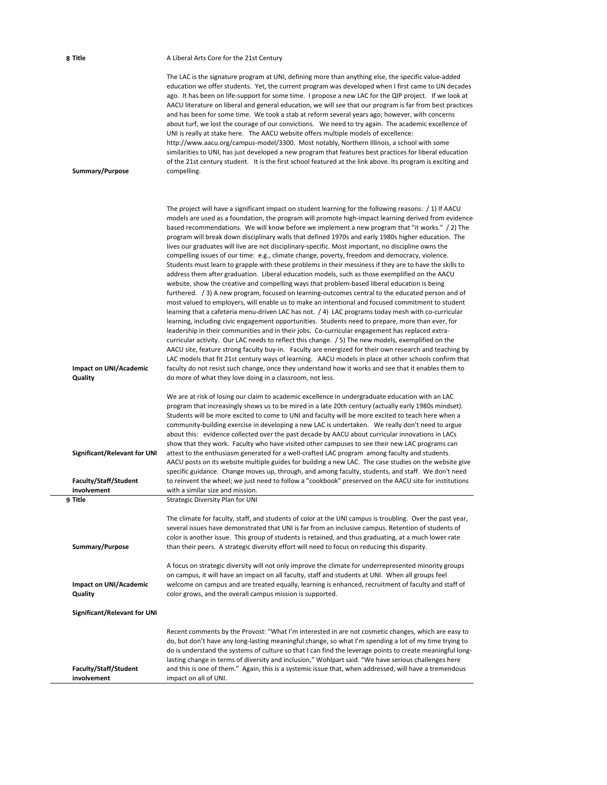| 8 Title                                     | A Liberal Arts Core for the 21st Century                                                                                                                                                                                                                                                                                                                                                                                                                                                                                                                                                                                                                                                                                                                                                                                                                                                                                                                                                                                                                                                                                                                                                                                                                                                                                                                                                                                                                                                                                                                                                                                                                                                                                                                                                                                                                                                                                                                                      |
|---------------------------------------------|-------------------------------------------------------------------------------------------------------------------------------------------------------------------------------------------------------------------------------------------------------------------------------------------------------------------------------------------------------------------------------------------------------------------------------------------------------------------------------------------------------------------------------------------------------------------------------------------------------------------------------------------------------------------------------------------------------------------------------------------------------------------------------------------------------------------------------------------------------------------------------------------------------------------------------------------------------------------------------------------------------------------------------------------------------------------------------------------------------------------------------------------------------------------------------------------------------------------------------------------------------------------------------------------------------------------------------------------------------------------------------------------------------------------------------------------------------------------------------------------------------------------------------------------------------------------------------------------------------------------------------------------------------------------------------------------------------------------------------------------------------------------------------------------------------------------------------------------------------------------------------------------------------------------------------------------------------------------------------|
| Summary/Purpose                             | The LAC is the signature program at UNI, defining more than anything else, the specific value-added<br>education we offer students. Yet, the current program was developed when I first came to UN decades<br>ago. It has been on life-support for some time. I propose a new LAC for the QIP project. If we look at<br>AACU literature on liberal and general education, we will see that our program is far from best practices<br>and has been for some time. We took a stab at reform several years ago; however, with concerns<br>about turf, we lost the courage of our convictions. We need to try again. The academic excellence of<br>UNI is really at stake here. The AACU website offers multiple models of excellence:<br>http://www.aacu.org/campus-model/3300. Most notably, Northern Illinois, a school with some<br>similarities to UNI, has just developed a new program that features best practices for liberal education<br>of the 21st century student. It is the first school featured at the link above. Its program is exciting and<br>compelling.                                                                                                                                                                                                                                                                                                                                                                                                                                                                                                                                                                                                                                                                                                                                                                                                                                                                                                    |
| Impact on UNI/Academic<br>Quality           | The project will have a significant impact on student learning for the following reasons: $\binom{1}{1}$ if AACU<br>models are used as a foundation, the program will promote high-impact learning derived from evidence<br>based recommendations. We will know before we implement a new program that "it works." / 2) The<br>program will break down disciplinary walls that defined 1970s and early 1980s higher education. The<br>lives our graduates will live are not disciplinary-specific. Most important, no discipline owns the<br>compelling issues of our time: e.g., climate change, poverty, freedom and democracy, violence.<br>Students must learn to grapple with these problems in their messiness if they are to have the skills to<br>address them after graduation. Liberal education models, such as those exemplified on the AACU<br>website, show the creative and compelling ways that problem-based liberal education is being<br>furthered. (3) A new program, focused on learning-outcomes central to the educated person and of<br>most valued to employers, will enable us to make an intentional and focused commitment to student<br>learning that a cafeteria menu-driven LAC has not. / 4) LAC programs today mesh with co-curricular<br>learning, including civic engagement opportunities. Students need to prepare, more than ever, for<br>leadership in their communities and in their jobs. Co-curricular engagement has replaced extra-<br>curricular activity. Our LAC needs to reflect this change. / 5) The new models, exemplified on the<br>AACU site, feature strong faculty buy-in. Faculty are energized for their own research and teaching by<br>LAC models that fit 21st century ways of learning. AACU models in place at other schools confirm that<br>faculty do not resist such change, once they understand how it works and see that it enables them to<br>do more of what they love doing in a classroom, not less. |
|                                             | We are at risk of losing our claim to academic excellence in undergraduate education with an LAC<br>program that increasingly shows us to be mired in a late 20th century (actually early 1980s mindset).<br>Students will be more excited to come to UNI and faculty will be more excited to teach here when a<br>community-building exercise in developing a new LAC is undertaken. We really don't need to argue<br>about this: evidence collected over the past decade by AACU about curricular innovations in LACs                                                                                                                                                                                                                                                                                                                                                                                                                                                                                                                                                                                                                                                                                                                                                                                                                                                                                                                                                                                                                                                                                                                                                                                                                                                                                                                                                                                                                                                       |
| Significant/Relevant for UNI                | show that they work. Faculty who have visited other campuses to see their new LAC programs can<br>attest to the enthusiasm generated for a well-crafted LAC program among faculty and students.<br>AACU posts on its website multiple guides for building a new LAC. The case studies on the website give<br>specific guidance. Change moves up, through, and among faculty, students, and staff. We don't need                                                                                                                                                                                                                                                                                                                                                                                                                                                                                                                                                                                                                                                                                                                                                                                                                                                                                                                                                                                                                                                                                                                                                                                                                                                                                                                                                                                                                                                                                                                                                               |
| Faculty/Staff/Student<br>involvement        | to reinvent the wheel; we just need to follow a "cookbook" preserved on the AACU site for institutions<br>with a similar size and mission.                                                                                                                                                                                                                                                                                                                                                                                                                                                                                                                                                                                                                                                                                                                                                                                                                                                                                                                                                                                                                                                                                                                                                                                                                                                                                                                                                                                                                                                                                                                                                                                                                                                                                                                                                                                                                                    |
| 9 Title<br>Summary/Purpose                  | Strategic Diversity Plan for UNI<br>The climate for faculty, staff, and students of color at the UNI campus is troubling. Over the past year,<br>several issues have demonstrated that UNI is far from an inclusive campus. Retention of students of<br>color is another issue. This group of students is retained, and thus graduating, at a much lower rate<br>than their peers. A strategic diversity effort will need to focus on reducing this disparity.                                                                                                                                                                                                                                                                                                                                                                                                                                                                                                                                                                                                                                                                                                                                                                                                                                                                                                                                                                                                                                                                                                                                                                                                                                                                                                                                                                                                                                                                                                                |
| Impact on UNI/Academic<br>Quality           | A focus on strategic diversity will not only improve the climate for underrepresented minority groups<br>on campus, it will have an impact on all faculty, staff and students at UNI. When all groups feel<br>welcome on campus and are treated equally, learning is enhanced, recruitment of faculty and staff of<br>color grows, and the overall campus mission is supported.                                                                                                                                                                                                                                                                                                                                                                                                                                                                                                                                                                                                                                                                                                                                                                                                                                                                                                                                                                                                                                                                                                                                                                                                                                                                                                                                                                                                                                                                                                                                                                                               |
| <b>Significant/Relevant for UNI</b>         |                                                                                                                                                                                                                                                                                                                                                                                                                                                                                                                                                                                                                                                                                                                                                                                                                                                                                                                                                                                                                                                                                                                                                                                                                                                                                                                                                                                                                                                                                                                                                                                                                                                                                                                                                                                                                                                                                                                                                                               |
| <b>Faculty/Staff/Student</b><br>involvement | Recent comments by the Provost: "What I'm interested in are not cosmetic changes, which are easy to<br>do, but don't have any long-lasting meaningful change, so what I'm spending a lot of my time trying to<br>do is understand the systems of culture so that I can find the leverage points to create meaningful long-<br>lasting change in terms of diversity and inclusion," Wohlpart said. "We have serious challenges here<br>and this is one of them." Again, this is a systemic issue that, when addressed, will have a tremendous<br>impact on all of UNI.                                                                                                                                                                                                                                                                                                                                                                                                                                                                                                                                                                                                                                                                                                                                                                                                                                                                                                                                                                                                                                                                                                                                                                                                                                                                                                                                                                                                         |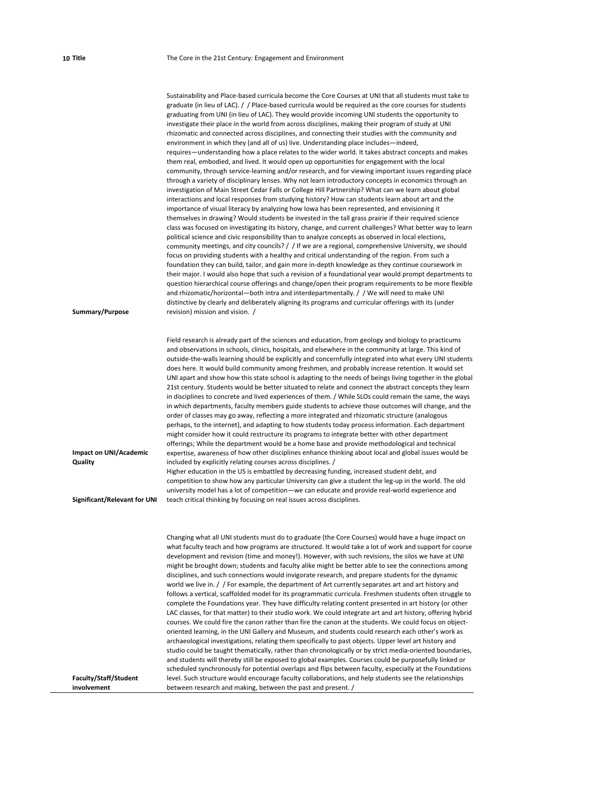| Summary/Purpose                   | Sustainability and Place-based curricula become the Core Courses at UNI that all students must take to<br>graduate (in lieu of LAC). / Place-based curricula would be required as the core courses for students<br>graduating from UNI (in lieu of LAC). They would provide incoming UNI students the opportunity to<br>investigate their place in the world from across disciplines, making their program of study at UNI<br>rhizomatic and connected across disciplines, and connecting their studies with the community and<br>environment in which they (and all of us) live. Understanding place includes—indeed,<br>requires—understanding how a place relates to the wider world. It takes abstract concepts and makes<br>them real, embodied, and lived. It would open up opportunities for engagement with the local<br>community, through service-learning and/or research, and for viewing important issues regarding place<br>through a variety of disciplinary lenses. Why not learn introductory concepts in economics through an<br>investigation of Main Street Cedar Falls or College Hill Partnership? What can we learn about global<br>interactions and local responses from studying history? How can students learn about art and the<br>importance of visual literacy by analyzing how lowa has been represented, and envisioning it<br>themselves in drawing? Would students be invested in the tall grass prairie if their required science<br>class was focused on investigating its history, change, and current challenges? What better way to learn<br>political science and civic responsibility than to analyze concepts as observed in local elections,<br>community meetings, and city councils? / / If we are a regional, comprehensive University, we should<br>focus on providing students with a healthy and critical understanding of the region. From such a<br>foundation they can build, tailor, and gain more in-depth knowledge as they continue coursework in<br>their major. I would also hope that such a revision of a foundational year would prompt departments to<br>question hierarchical course offerings and change/open their program requirements to be more flexible<br>and rhizomatic/horizontal—both intra and interdepartmentally. / / We will need to make UNI<br>distinctive by clearly and deliberately aligning its programs and curricular offerings with its (under<br>revision) mission and vision. / |
|-----------------------------------|-------------------------------------------------------------------------------------------------------------------------------------------------------------------------------------------------------------------------------------------------------------------------------------------------------------------------------------------------------------------------------------------------------------------------------------------------------------------------------------------------------------------------------------------------------------------------------------------------------------------------------------------------------------------------------------------------------------------------------------------------------------------------------------------------------------------------------------------------------------------------------------------------------------------------------------------------------------------------------------------------------------------------------------------------------------------------------------------------------------------------------------------------------------------------------------------------------------------------------------------------------------------------------------------------------------------------------------------------------------------------------------------------------------------------------------------------------------------------------------------------------------------------------------------------------------------------------------------------------------------------------------------------------------------------------------------------------------------------------------------------------------------------------------------------------------------------------------------------------------------------------------------------------------------------------------------------------------------------------------------------------------------------------------------------------------------------------------------------------------------------------------------------------------------------------------------------------------------------------------------------------------------------------------------------------------------------------------------------------------------------------------------------------------------------------------------------------------------------|
|                                   |                                                                                                                                                                                                                                                                                                                                                                                                                                                                                                                                                                                                                                                                                                                                                                                                                                                                                                                                                                                                                                                                                                                                                                                                                                                                                                                                                                                                                                                                                                                                                                                                                                                                                                                                                                                                                                                                                                                                                                                                                                                                                                                                                                                                                                                                                                                                                                                                                                                                         |
| Impact on UNI/Academic<br>Quality | Field research is already part of the sciences and education, from geology and biology to practicums<br>and observations in schools, clinics, hospitals, and elsewhere in the community at large. This kind of<br>outside-the-walls learning should be explicitly and concernfully integrated into what every UNI students<br>does here. It would build community among freshmen, and probably increase retention. It would set<br>UNI apart and show how this state school is adapting to the needs of beings living together in the global<br>21st century. Students would be better situated to relate and connect the abstract concepts they learn<br>in disciplines to concrete and lived experiences of them. / While SLOs could remain the same, the ways<br>in which departments, faculty members guide students to achieve those outcomes will change, and the<br>order of classes may go away, reflecting a more integrated and rhizomatic structure (analogous<br>perhaps, to the internet), and adapting to how students today process information. Each department<br>might consider how it could restructure its programs to integrate better with other department<br>offerings; While the department would be a home base and provide methodological and technical<br>expertise, awareness of how other disciplines enhance thinking about local and global issues would be<br>included by explicitly relating courses across disciplines. /<br>Higher education in the US is embattled by decreasing funding, increased student debt, and<br>competition to show how any particular University can give a student the leg-up in the world. The old<br>university model has a lot of competition—we can educate and provide real-world experience and                                                                                                                                                                                                                                                                                                                                                                                                                                                                                                                                                                                                                                                                                                   |
| Significant/Relevant for UNI      | teach critical thinking by focusing on real issues across disciplines.                                                                                                                                                                                                                                                                                                                                                                                                                                                                                                                                                                                                                                                                                                                                                                                                                                                                                                                                                                                                                                                                                                                                                                                                                                                                                                                                                                                                                                                                                                                                                                                                                                                                                                                                                                                                                                                                                                                                                                                                                                                                                                                                                                                                                                                                                                                                                                                                  |
| <b>Faculty/Staff/Student</b>      | Changing what all UNI students must do to graduate (the Core Courses) would have a huge impact on<br>what faculty teach and how programs are structured. It would take a lot of work and support for course<br>development and revision (time and money!). However, with such revisions, the silos we have at UNI<br>might be brought down; students and faculty alike might be better able to see the connections among<br>disciplines, and such connections would invigorate research, and prepare students for the dynamic<br>world we live in. / / For example, the department of Art currently separates art and art history and<br>follows a vertical, scaffolded model for its programmatic curricula. Freshmen students often struggle to<br>complete the Foundations year. They have difficulty relating content presented in art history (or other<br>LAC classes, for that matter) to their studio work. We could integrate art and art history, offering hybrid<br>courses. We could fire the canon rather than fire the canon at the students. We could focus on object-<br>oriented learning, in the UNI Gallery and Museum, and students could research each other's work as<br>archaeological investigations, relating them specifically to past objects. Upper level art history and<br>studio could be taught thematically, rather than chronologically or by strict media-oriented boundaries,<br>and students will thereby still be exposed to global examples. Courses could be purposefully linked or<br>scheduled synchronously for potential overlaps and flips between faculty, especially at the Foundations<br>level. Such structure would encourage faculty collaborations, and help students see the relationships                                                                                                                                                                                                                                                                                                                                                                                                                                                                                                                                                                                                                                                                                                                         |
| involvement                       | between research and making, between the past and present. /                                                                                                                                                                                                                                                                                                                                                                                                                                                                                                                                                                                                                                                                                                                                                                                                                                                                                                                                                                                                                                                                                                                                                                                                                                                                                                                                                                                                                                                                                                                                                                                                                                                                                                                                                                                                                                                                                                                                                                                                                                                                                                                                                                                                                                                                                                                                                                                                            |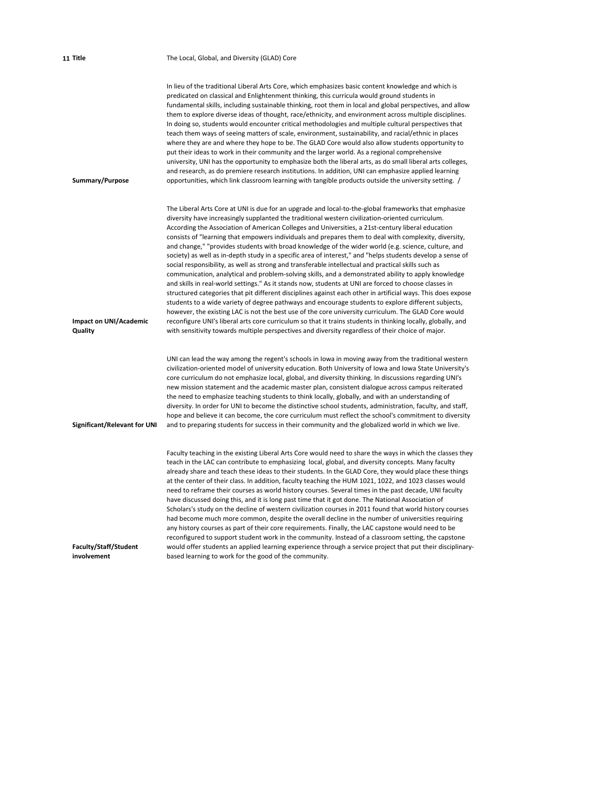| 11 Title                             | The Local, Global, and Diversity (GLAD) Core                                                                                                                                                                                                                                                                                                                                                                                                                                                                                                                                                                                                                                                                                                                                                                                                                                                                                                                                                                                                                                                                                                                                                                                                                                                                                                                                                                                                                                                                           |
|--------------------------------------|------------------------------------------------------------------------------------------------------------------------------------------------------------------------------------------------------------------------------------------------------------------------------------------------------------------------------------------------------------------------------------------------------------------------------------------------------------------------------------------------------------------------------------------------------------------------------------------------------------------------------------------------------------------------------------------------------------------------------------------------------------------------------------------------------------------------------------------------------------------------------------------------------------------------------------------------------------------------------------------------------------------------------------------------------------------------------------------------------------------------------------------------------------------------------------------------------------------------------------------------------------------------------------------------------------------------------------------------------------------------------------------------------------------------------------------------------------------------------------------------------------------------|
| Summary/Purpose                      | In lieu of the traditional Liberal Arts Core, which emphasizes basic content knowledge and which is<br>predicated on classical and Enlightenment thinking, this curricula would ground students in<br>fundamental skills, including sustainable thinking, root them in local and global perspectives, and allow<br>them to explore diverse ideas of thought, race/ethnicity, and environment across multiple disciplines.<br>In doing so, students would encounter critical methodologies and multiple cultural perspectives that<br>teach them ways of seeing matters of scale, environment, sustainability, and racial/ethnic in places<br>where they are and where they hope to be. The GLAD Core would also allow students opportunity to<br>put their ideas to work in their community and the larger world. As a regional comprehensive<br>university, UNI has the opportunity to emphasize both the liberal arts, as do small liberal arts colleges,<br>and research, as do premiere research institutions. In addition, UNI can emphasize applied learning<br>opportunities, which link classroom learning with tangible products outside the university setting. /                                                                                                                                                                                                                                                                                                                                            |
| Impact on UNI/Academic<br>Quality    | The Liberal Arts Core at UNI is due for an upgrade and local-to-the-global frameworks that emphasize<br>diversity have increasingly supplanted the traditional western civilization-oriented curriculum.<br>According the Association of American Colleges and Universities, a 21st-century liberal education<br>consists of "learning that empowers individuals and prepares them to deal with complexity, diversity,<br>and change," "provides students with broad knowledge of the wider world (e.g. science, culture, and<br>society) as well as in-depth study in a specific area of interest," and "helps students develop a sense of<br>social responsibility, as well as strong and transferable intellectual and practical skills such as<br>communication, analytical and problem-solving skills, and a demonstrated ability to apply knowledge<br>and skills in real-world settings." As it stands now, students at UNI are forced to choose classes in<br>structured categories that pit different disciplines against each other in artificial ways. This does expose<br>students to a wide variety of degree pathways and encourage students to explore different subjects,<br>however, the existing LAC is not the best use of the core university curriculum. The GLAD Core would<br>reconfigure UNI's liberal arts core curriculum so that it trains students in thinking locally, globally, and<br>with sensitivity towards multiple perspectives and diversity regardless of their choice of major. |
| Significant/Relevant for UNI         | UNI can lead the way among the regent's schools in lowa in moving away from the traditional western<br>civilization-oriented model of university education. Both University of Iowa and Iowa State University's<br>core curriculum do not emphasize local, global, and diversity thinking. In discussions regarding UNI's<br>new mission statement and the academic master plan, consistent dialogue across campus reiterated<br>the need to emphasize teaching students to think locally, globally, and with an understanding of<br>diversity. In order for UNI to become the distinctive school students, administration, faculty, and staff,<br>hope and believe it can become, the core curriculum must reflect the school's commitment to diversity<br>and to preparing students for success in their community and the globalized world in which we live.                                                                                                                                                                                                                                                                                                                                                                                                                                                                                                                                                                                                                                                        |
| Faculty/Staff/Student<br>involvement | Faculty teaching in the existing Liberal Arts Core would need to share the ways in which the classes they<br>teach in the LAC can contribute to emphasizing local, global, and diversity concepts. Many faculty<br>already share and teach these ideas to their students. In the GLAD Core, they would place these things<br>at the center of their class. In addition, faculty teaching the HUM 1021, 1022, and 1023 classes would<br>need to reframe their courses as world history courses. Several times in the past decade, UNI faculty<br>have discussed doing this, and it is long past time that it got done. The National Association of<br>Scholars's study on the decline of western civilization courses in 2011 found that world history courses<br>had become much more common, despite the overall decline in the number of universities requiring<br>any history courses as part of their core requirements. Finally, the LAC capstone would need to be<br>reconfigured to support student work in the community. Instead of a classroom setting, the capstone<br>would offer students an applied learning experience through a service project that put their disciplinary-<br>based learning to work for the good of the community.                                                                                                                                                                                                                                                                  |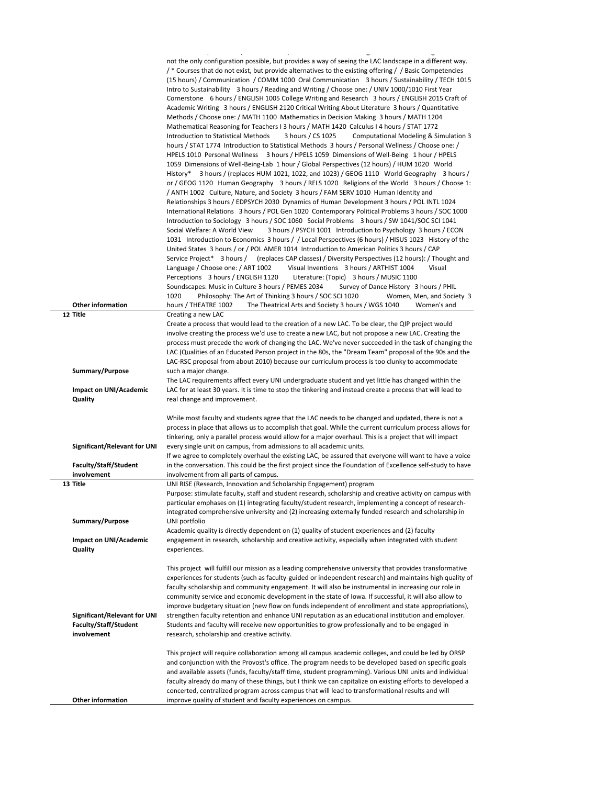|                                                                             | the contract of the contract of                                                                                                                                                                                                                                                                                                                                                                                                                                                                                                                                                                                                                                                                                                                                                                                                                                                                                                                                                                                                                                                                                                                                                                                                                                                                                                                                                                                                                                                                                                                                                                                                                                                                                                                                                                                                                                                                                                                                                                                                                                                                                                                                                                                                                                                                                                                                                                                                                                                                                                                                                                                                                                                                                                                                                                                                                                                                                                                                                                                                                                                    |
|-----------------------------------------------------------------------------|------------------------------------------------------------------------------------------------------------------------------------------------------------------------------------------------------------------------------------------------------------------------------------------------------------------------------------------------------------------------------------------------------------------------------------------------------------------------------------------------------------------------------------------------------------------------------------------------------------------------------------------------------------------------------------------------------------------------------------------------------------------------------------------------------------------------------------------------------------------------------------------------------------------------------------------------------------------------------------------------------------------------------------------------------------------------------------------------------------------------------------------------------------------------------------------------------------------------------------------------------------------------------------------------------------------------------------------------------------------------------------------------------------------------------------------------------------------------------------------------------------------------------------------------------------------------------------------------------------------------------------------------------------------------------------------------------------------------------------------------------------------------------------------------------------------------------------------------------------------------------------------------------------------------------------------------------------------------------------------------------------------------------------------------------------------------------------------------------------------------------------------------------------------------------------------------------------------------------------------------------------------------------------------------------------------------------------------------------------------------------------------------------------------------------------------------------------------------------------------------------------------------------------------------------------------------------------------------------------------------------------------------------------------------------------------------------------------------------------------------------------------------------------------------------------------------------------------------------------------------------------------------------------------------------------------------------------------------------------------------------------------------------------------------------------------------------------|
| <b>Other information</b><br>12 Title                                        | says a construction of the co<br>not the only configuration possible, but provides a way of seeing the LAC landscape in a different way.<br>/* Courses that do not exist, but provide alternatives to the existing offering / / Basic Competencies<br>(15 hours) / Communication / COMM 1000 Oral Communication 3 hours / Sustainability / TECH 1015<br>Intro to Sustainability 3 hours / Reading and Writing / Choose one: / UNIV 1000/1010 First Year<br>Cornerstone 6 hours / ENGLISH 1005 College Writing and Research 3 hours / ENGLISH 2015 Craft of<br>Academic Writing 3 hours / ENGLISH 2120 Critical Writing About Literature 3 hours / Quantitative<br>Methods / Choose one: / MATH 1100 Mathematics in Decision Making 3 hours / MATH 1204<br>Mathematical Reasoning for Teachers I 3 hours / MATH 1420 Calculus I 4 hours / STAT 1772<br>3 hours / CS 1025<br>Computational Modeling & Simulation 3<br>Introduction to Statistical Methods<br>hours / STAT 1774 Introduction to Statistical Methods 3 hours / Personal Wellness / Choose one: /<br>HPELS 1010 Personal Wellness 3 hours / HPELS 1059 Dimensions of Well-Being 1 hour / HPELS<br>1059 Dimensions of Well-Being-Lab 1 hour / Global Perspectives (12 hours) / HUM 1020 World<br>History* 3 hours / (replaces HUM 1021, 1022, and 1023) / GEOG 1110 World Geography 3 hours /<br>or / GEOG 1120 Human Geography 3 hours / RELS 1020 Religions of the World 3 hours / Choose 1:<br>/ ANTH 1002 Culture, Nature, and Society 3 hours / FAM SERV 1010 Human Identity and<br>Relationships 3 hours / EDPSYCH 2030 Dynamics of Human Development 3 hours / POL INTL 1024<br>International Relations 3 hours / POL Gen 1020 Contemporary Political Problems 3 hours / SOC 1000<br>Introduction to Sociology 3 hours / SOC 1060 Social Problems 3 hours / SW 1041/SOC SCI 1041<br>Social Welfare: A World View<br>3 hours / PSYCH 1001 Introduction to Psychology 3 hours / ECON<br>1031 Introduction to Economics 3 hours / / Local Perspectives (6 hours) / HISUS 1023 History of the<br>United States 3 hours / or / POL AMER 1014 Introduction to American Politics 3 hours / CAP<br>Service Project* 3 hours / (replaces CAP classes) / Diversity Perspectives (12 hours): / Thought and<br>Language / Choose one: / ART 1002<br>Visual Inventions 3 hours / ARTHIST 1004<br>Visual<br>Perceptions 3 hours / ENGLISH 1120<br>Literature: (Topic) 3 hours / MUSIC 1100<br>Soundscapes: Music in Culture 3 hours / PEMES 2034<br>Survey of Dance History 3 hours / PHIL<br>1020<br>Philosophy: The Art of Thinking 3 hours / SOC SCI 1020<br>Women, Men, and Society 3<br>hours / THEATRE 1002<br>The Theatrical Arts and Society 3 hours / WGS 1040<br>Women's and<br>Creating a new LAC<br>Create a process that would lead to the creation of a new LAC. To be clear, the QIP project would<br>involve creating the process we'd use to create a new LAC, but not propose a new LAC. Creating the<br>process must precede the work of changing the LAC. We've never succeeded in the task of changing the |
|                                                                             | LAC (Qualities of an Educated Person project in the 80s, the "Dream Team" proposal of the 90s and the                                                                                                                                                                                                                                                                                                                                                                                                                                                                                                                                                                                                                                                                                                                                                                                                                                                                                                                                                                                                                                                                                                                                                                                                                                                                                                                                                                                                                                                                                                                                                                                                                                                                                                                                                                                                                                                                                                                                                                                                                                                                                                                                                                                                                                                                                                                                                                                                                                                                                                                                                                                                                                                                                                                                                                                                                                                                                                                                                                              |
| Summary/Purpose                                                             | LAC-RSC proposal from about 2010) because our curriculum process is too clunky to accommodate<br>such a major change.                                                                                                                                                                                                                                                                                                                                                                                                                                                                                                                                                                                                                                                                                                                                                                                                                                                                                                                                                                                                                                                                                                                                                                                                                                                                                                                                                                                                                                                                                                                                                                                                                                                                                                                                                                                                                                                                                                                                                                                                                                                                                                                                                                                                                                                                                                                                                                                                                                                                                                                                                                                                                                                                                                                                                                                                                                                                                                                                                              |
|                                                                             | The LAC requirements affect every UNI undergraduate student and yet little has changed within the                                                                                                                                                                                                                                                                                                                                                                                                                                                                                                                                                                                                                                                                                                                                                                                                                                                                                                                                                                                                                                                                                                                                                                                                                                                                                                                                                                                                                                                                                                                                                                                                                                                                                                                                                                                                                                                                                                                                                                                                                                                                                                                                                                                                                                                                                                                                                                                                                                                                                                                                                                                                                                                                                                                                                                                                                                                                                                                                                                                  |
| Impact on UNI/Academic<br>Quality                                           | LAC for at least 30 years. It is time to stop the tinkering and instead create a process that will lead to<br>real change and improvement.                                                                                                                                                                                                                                                                                                                                                                                                                                                                                                                                                                                                                                                                                                                                                                                                                                                                                                                                                                                                                                                                                                                                                                                                                                                                                                                                                                                                                                                                                                                                                                                                                                                                                                                                                                                                                                                                                                                                                                                                                                                                                                                                                                                                                                                                                                                                                                                                                                                                                                                                                                                                                                                                                                                                                                                                                                                                                                                                         |
| Significant/Relevant for UNI<br>Faculty/Staff/Student<br>involvement        | While most faculty and students agree that the LAC needs to be changed and updated, there is not a<br>process in place that allows us to accomplish that goal. While the current curriculum process allows for<br>tinkering, only a parallel process would allow for a major overhaul. This is a project that will impact<br>every single unit on campus, from admissions to all academic units.<br>If we agree to completely overhaul the existing LAC, be assured that everyone will want to have a voice<br>in the conversation. This could be the first project since the Foundation of Excellence self-study to have<br>involvement from all parts of campus.                                                                                                                                                                                                                                                                                                                                                                                                                                                                                                                                                                                                                                                                                                                                                                                                                                                                                                                                                                                                                                                                                                                                                                                                                                                                                                                                                                                                                                                                                                                                                                                                                                                                                                                                                                                                                                                                                                                                                                                                                                                                                                                                                                                                                                                                                                                                                                                                                 |
| 13 Title                                                                    | UNI RISE (Research, Innovation and Scholarship Engagement) program                                                                                                                                                                                                                                                                                                                                                                                                                                                                                                                                                                                                                                                                                                                                                                                                                                                                                                                                                                                                                                                                                                                                                                                                                                                                                                                                                                                                                                                                                                                                                                                                                                                                                                                                                                                                                                                                                                                                                                                                                                                                                                                                                                                                                                                                                                                                                                                                                                                                                                                                                                                                                                                                                                                                                                                                                                                                                                                                                                                                                 |
| Summary/Purpose<br>Impact on UNI/Academic<br>Quality                        | Purpose: stimulate faculty, staff and student research, scholarship and creative activity on campus with<br>particular emphases on (1) integrating faculty/student research, implementing a concept of research-<br>integrated comprehensive university and (2) increasing externally funded research and scholarship in<br>UNI portfolio<br>Academic quality is directly dependent on (1) quality of student experiences and (2) faculty<br>engagement in research, scholarship and creative activity, especially when integrated with student<br>experiences.                                                                                                                                                                                                                                                                                                                                                                                                                                                                                                                                                                                                                                                                                                                                                                                                                                                                                                                                                                                                                                                                                                                                                                                                                                                                                                                                                                                                                                                                                                                                                                                                                                                                                                                                                                                                                                                                                                                                                                                                                                                                                                                                                                                                                                                                                                                                                                                                                                                                                                                    |
| Significant/Relevant for UNI<br><b>Faculty/Staff/Student</b><br>involvement | This project will fulfill our mission as a leading comprehensive university that provides transformative<br>experiences for students (such as faculty-guided or independent research) and maintains high quality of<br>faculty scholarship and community engagement. It will also be instrumental in increasing our role in<br>community service and economic development in the state of Iowa. If successful, it will also allow to<br>improve budgetary situation (new flow on funds independent of enrollment and state appropriations),<br>strengthen faculty retention and enhance UNI reputation as an educational institution and employer.<br>Students and faculty will receive new opportunities to grow professionally and to be engaged in<br>research, scholarship and creative activity.                                                                                                                                                                                                                                                                                                                                                                                                                                                                                                                                                                                                                                                                                                                                                                                                                                                                                                                                                                                                                                                                                                                                                                                                                                                                                                                                                                                                                                                                                                                                                                                                                                                                                                                                                                                                                                                                                                                                                                                                                                                                                                                                                                                                                                                                              |
| <b>Other information</b>                                                    | This project will require collaboration among all campus academic colleges, and could be led by ORSP<br>and conjunction with the Provost's office. The program needs to be developed based on specific goals<br>and available assets (funds, faculty/staff time, student programming). Various UNI units and individual<br>faculty already do many of these things, but I think we can capitalize on existing efforts to developed a<br>concerted, centralized program across campus that will lead to transformational results and will<br>improve quality of student and faculty experiences on campus.                                                                                                                                                                                                                                                                                                                                                                                                                                                                                                                                                                                                                                                                                                                                                                                                                                                                                                                                                                                                                                                                                                                                                                                                                                                                                                                                                                                                                                                                                                                                                                                                                                                                                                                                                                                                                                                                                                                                                                                                                                                                                                                                                                                                                                                                                                                                                                                                                                                                          |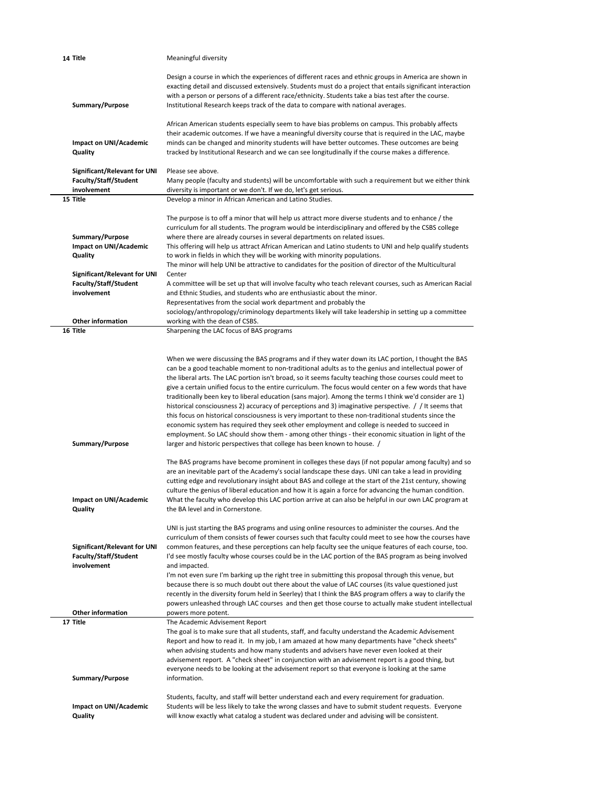| 14 Title                                                                                | Meaningful diversity                                                                                                                                                                                                                                                                                                                                                                                                                                                                                                                                                                                                                                                                                                                                                                                                                                                                                                                                                                                                                        |
|-----------------------------------------------------------------------------------------|---------------------------------------------------------------------------------------------------------------------------------------------------------------------------------------------------------------------------------------------------------------------------------------------------------------------------------------------------------------------------------------------------------------------------------------------------------------------------------------------------------------------------------------------------------------------------------------------------------------------------------------------------------------------------------------------------------------------------------------------------------------------------------------------------------------------------------------------------------------------------------------------------------------------------------------------------------------------------------------------------------------------------------------------|
| Summary/Purpose                                                                         | Design a course in which the experiences of different races and ethnic groups in America are shown in<br>exacting detail and discussed extensively. Students must do a project that entails significant interaction<br>with a person or persons of a different race/ethnicity. Students take a bias test after the course.<br>Institutional Research keeps track of the data to compare with national averages.                                                                                                                                                                                                                                                                                                                                                                                                                                                                                                                                                                                                                             |
| <b>Impact on UNI/Academic</b>                                                           | African American students especially seem to have bias problems on campus. This probably affects<br>their academic outcomes. If we have a meaningful diversity course that is required in the LAC, maybe<br>minds can be changed and minority students will have better outcomes. These outcomes are being                                                                                                                                                                                                                                                                                                                                                                                                                                                                                                                                                                                                                                                                                                                                  |
| Quality                                                                                 | tracked by Institutional Research and we can see longitudinally if the course makes a difference.                                                                                                                                                                                                                                                                                                                                                                                                                                                                                                                                                                                                                                                                                                                                                                                                                                                                                                                                           |
| Significant/Relevant for UNI<br><b>Faculty/Staff/Student</b><br>involvement<br>15 Title | Please see above.<br>Many people (faculty and students) will be uncomfortable with such a requirement but we either think<br>diversity is important or we don't. If we do, let's get serious.<br>Develop a minor in African American and Latino Studies.                                                                                                                                                                                                                                                                                                                                                                                                                                                                                                                                                                                                                                                                                                                                                                                    |
|                                                                                         | The purpose is to off a minor that will help us attract more diverse students and to enhance / the                                                                                                                                                                                                                                                                                                                                                                                                                                                                                                                                                                                                                                                                                                                                                                                                                                                                                                                                          |
| Summary/Purpose<br>Impact on UNI/Academic<br>Quality                                    | curriculum for all students. The program would be interdisciplinary and offered by the CSBS college<br>where there are already courses in several departments on related issues.<br>This offering will help us attract African American and Latino students to UNI and help qualify students<br>to work in fields in which they will be working with minority populations.                                                                                                                                                                                                                                                                                                                                                                                                                                                                                                                                                                                                                                                                  |
| <b>Significant/Relevant for UNI</b>                                                     | The minor will help UNI be attractive to candidates for the position of director of the Multicultural<br>Center                                                                                                                                                                                                                                                                                                                                                                                                                                                                                                                                                                                                                                                                                                                                                                                                                                                                                                                             |
| Faculty/Staff/Student<br>involvement                                                    | A committee will be set up that will involve faculty who teach relevant courses, such as American Racial<br>and Ethnic Studies, and students who are enthusiastic about the minor.<br>Representatives from the social work department and probably the                                                                                                                                                                                                                                                                                                                                                                                                                                                                                                                                                                                                                                                                                                                                                                                      |
| <b>Other information</b>                                                                | sociology/anthropology/criminology departments likely will take leadership in setting up a committee<br>working with the dean of CSBS.                                                                                                                                                                                                                                                                                                                                                                                                                                                                                                                                                                                                                                                                                                                                                                                                                                                                                                      |
| 16 Title                                                                                | Sharpening the LAC focus of BAS programs                                                                                                                                                                                                                                                                                                                                                                                                                                                                                                                                                                                                                                                                                                                                                                                                                                                                                                                                                                                                    |
| Summary/Purpose                                                                         | When we were discussing the BAS programs and if they water down its LAC portion, I thought the BAS<br>can be a good teachable moment to non-traditional adults as to the genius and intellectual power of<br>the liberal arts. The LAC portion isn't broad, so it seems faculty teaching those courses could meet to<br>give a certain unified focus to the entire curriculum. The focus would center on a few words that have<br>traditionally been key to liberal education (sans major). Among the terms I think we'd consider are 1)<br>historical consciousness 2) accuracy of perceptions and 3) imaginative perspective. / / It seems that<br>this focus on historical consciousness is very important to these non-traditional students since the<br>economic system has required they seek other employment and college is needed to succeed in<br>employment. So LAC should show them - among other things - their economic situation in light of the<br>larger and historic perspectives that college has been known to house. / |
| <b>Impact on UNI/Academic</b><br>Quality                                                | The BAS programs have become prominent in colleges these days (if not popular among faculty) and so<br>are an inevitable part of the Academy's social landscape these days. UNI can take a lead in providing<br>cutting edge and revolutionary insight about BAS and college at the start of the 21st century, showing<br>culture the genius of liberal education and how it is again a force for advancing the human condition.<br>What the faculty who develop this LAC portion arrive at can also be helpful in our own LAC program at<br>the BA level and in Cornerstone.                                                                                                                                                                                                                                                                                                                                                                                                                                                               |
| <b>Significant/Relevant for UNI</b><br><b>Faculty/Staff/Student</b><br>involvement      | UNI is just starting the BAS programs and using online resources to administer the courses. And the<br>curriculum of them consists of fewer courses such that faculty could meet to see how the courses have<br>common features, and these perceptions can help faculty see the unique features of each course, too.<br>I'd see mostly faculty whose courses could be in the LAC portion of the BAS program as being involved<br>and impacted.<br>I'm not even sure I'm barking up the right tree in submitting this proposal through this venue, but<br>because there is so much doubt out there about the value of LAC courses (its value questioned just<br>recently in the diversity forum held in Seerley) that I think the BAS program offers a way to clarify the<br>powers unleashed through LAC courses and then get those course to actually make student intellectual                                                                                                                                                            |
| <b>Other information</b>                                                                | powers more potent.                                                                                                                                                                                                                                                                                                                                                                                                                                                                                                                                                                                                                                                                                                                                                                                                                                                                                                                                                                                                                         |
| 17 Title<br>Summary/Purpose                                                             | The Academic Advisement Report<br>The goal is to make sure that all students, staff, and faculty understand the Academic Advisement<br>Report and how to read it. In my job, I am amazed at how many departments have "check sheets"<br>when advising students and how many students and advisers have never even looked at their<br>advisement report. A "check sheet" in conjunction with an advisement report is a good thing, but<br>everyone needs to be looking at the advisement report so that everyone is looking at the same<br>information.                                                                                                                                                                                                                                                                                                                                                                                                                                                                                      |
| <b>Impact on UNI/Academic</b><br>Quality                                                | Students, faculty, and staff will better understand each and every requirement for graduation.<br>Students will be less likely to take the wrong classes and have to submit student requests. Everyone<br>will know exactly what catalog a student was declared under and advising will be consistent.                                                                                                                                                                                                                                                                                                                                                                                                                                                                                                                                                                                                                                                                                                                                      |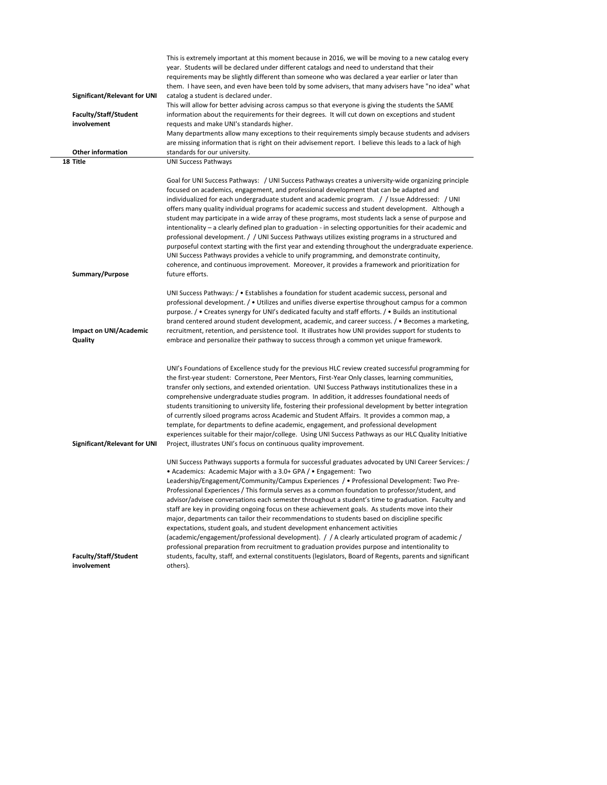|                                     | This is extremely important at this moment because in 2016, we will be moving to a new catalog every                                                                                              |
|-------------------------------------|---------------------------------------------------------------------------------------------------------------------------------------------------------------------------------------------------|
|                                     | year. Students will be declared under different catalogs and need to understand that their<br>requirements may be slightly different than someone who was declared a year earlier or later than   |
|                                     | them. I have seen, and even have been told by some advisers, that many advisers have "no idea" what                                                                                               |
| Significant/Relevant for UNI        | catalog a student is declared under.                                                                                                                                                              |
|                                     | This will allow for better advising across campus so that everyone is giving the students the SAME                                                                                                |
| Faculty/Staff/Student               | information about the requirements for their degrees. It will cut down on exceptions and student                                                                                                  |
| involvement                         | requests and make UNI's standards higher.                                                                                                                                                         |
|                                     | Many departments allow many exceptions to their requirements simply because students and advisers                                                                                                 |
|                                     | are missing information that is right on their advisement report. I believe this leads to a lack of high                                                                                          |
| <b>Other information</b>            | standards for our university.                                                                                                                                                                     |
| 18 Title                            | <b>UNI Success Pathways</b>                                                                                                                                                                       |
|                                     | Goal for UNI Success Pathways: / UNI Success Pathways creates a university-wide organizing principle                                                                                              |
|                                     | focused on academics, engagement, and professional development that can be adapted and                                                                                                            |
|                                     | individualized for each undergraduate student and academic program. / / Issue Addressed: / UNI                                                                                                    |
|                                     | offers many quality individual programs for academic success and student development. Although a                                                                                                  |
|                                     | student may participate in a wide array of these programs, most students lack a sense of purpose and                                                                                              |
|                                     | intentionality - a clearly defined plan to graduation - in selecting opportunities for their academic and                                                                                         |
|                                     | professional development. / / UNI Success Pathways utilizes existing programs in a structured and                                                                                                 |
|                                     | purposeful context starting with the first year and extending throughout the undergraduate experience.                                                                                            |
|                                     | UNI Success Pathways provides a vehicle to unify programming, and demonstrate continuity,                                                                                                         |
| Summary/Purpose                     | coherence, and continuous improvement. Moreover, it provides a framework and prioritization for<br>future efforts.                                                                                |
|                                     |                                                                                                                                                                                                   |
|                                     | UNI Success Pathways: / • Establishes a foundation for student academic success, personal and                                                                                                     |
|                                     | professional development. / • Utilizes and unifies diverse expertise throughout campus for a common                                                                                               |
|                                     | purpose. / • Creates synergy for UNI's dedicated faculty and staff efforts. / • Builds an institutional                                                                                           |
|                                     | brand centered around student development, academic, and career success. / • Becomes a marketing,                                                                                                 |
| Impact on UNI/Academic              | recruitment, retention, and persistence tool. It illustrates how UNI provides support for students to                                                                                             |
| Quality                             | embrace and personalize their pathway to success through a common yet unique framework.                                                                                                           |
|                                     |                                                                                                                                                                                                   |
|                                     | UNI's Foundations of Excellence study for the previous HLC review created successful programming for                                                                                              |
|                                     | the first-year student: Cornerstone, Peer Mentors, First-Year Only classes, learning communities,                                                                                                 |
|                                     | transfer only sections, and extended orientation. UNI Success Pathways institutionalizes these in a                                                                                               |
|                                     | comprehensive undergraduate studies program. In addition, it addresses foundational needs of                                                                                                      |
|                                     | students transitioning to university life, fostering their professional development by better integration                                                                                         |
|                                     | of currently siloed programs across Academic and Student Affairs. It provides a common map, a                                                                                                     |
|                                     | template, for departments to define academic, engagement, and professional development                                                                                                            |
|                                     | experiences suitable for their major/college. Using UNI Success Pathways as our HLC Quality Initiative                                                                                            |
| <b>Significant/Relevant for UNI</b> | Project, illustrates UNI's focus on continuous quality improvement.                                                                                                                               |
|                                     | UNI Success Pathways supports a formula for successful graduates advocated by UNI Career Services: /                                                                                              |
|                                     | • Academics: Academic Major with a 3.0+ GPA / • Engagement: Two                                                                                                                                   |
|                                     | Leadership/Engagement/Community/Campus Experiences / • Professional Development: Two Pre-                                                                                                         |
|                                     | Professional Experiences / This formula serves as a common foundation to professor/student, and                                                                                                   |
|                                     | advisor/advisee conversations each semester throughout a student's time to graduation. Faculty and                                                                                                |
|                                     | staff are key in providing ongoing focus on these achievement goals. As students move into their                                                                                                  |
|                                     | major, departments can tailor their recommendations to students based on discipline specific                                                                                                      |
|                                     | expectations, student goals, and student development enhancement activities                                                                                                                       |
|                                     | (academic/engagement/professional development). / / A clearly articulated program of academic /<br>professional preparation from recruitment to graduation provides purpose and intentionality to |
| Faculty/Staff/Student               | students, faculty, staff, and external constituents (legislators, Board of Regents, parents and significant                                                                                       |
| involvement                         | others).                                                                                                                                                                                          |
|                                     |                                                                                                                                                                                                   |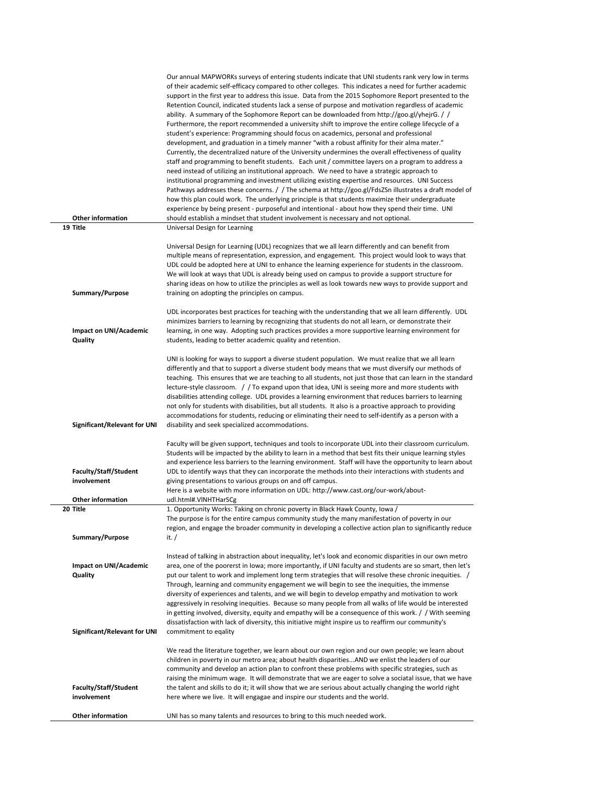|                                             | Our annual MAPWORKs surveys of entering students indicate that UNI students rank very low in terms<br>of their academic self-efficacy compared to other colleges. This indicates a need for further academic<br>support in the first year to address this issue. Data from the 2015 Sophomore Report presented to the<br>Retention Council, indicated students lack a sense of purpose and motivation regardless of academic<br>ability. A summary of the Sophomore Report can be downloaded from http://goo.gl/yheirG.//<br>Furthermore, the report recommended a university shift to improve the entire college lifecycle of a                |
|---------------------------------------------|-------------------------------------------------------------------------------------------------------------------------------------------------------------------------------------------------------------------------------------------------------------------------------------------------------------------------------------------------------------------------------------------------------------------------------------------------------------------------------------------------------------------------------------------------------------------------------------------------------------------------------------------------|
|                                             | student's experience: Programming should focus on academics, personal and professional<br>development, and graduation in a timely manner "with a robust affinity for their alma mater."<br>Currently, the decentralized nature of the University undermines the overall effectiveness of quality<br>staff and programming to benefit students. Each unit / committee layers on a program to address a<br>need instead of utilizing an institutional approach. We need to have a strategic approach to                                                                                                                                           |
| <b>Other information</b>                    | institutional programming and investment utilizing existing expertise and resources. UNI Success<br>Pathways addresses these concerns. / The schema at http://goo.gl/FdsZSn illustrates a draft model of<br>how this plan could work. The underlying principle is that students maximize their undergraduate<br>experience by being present - purposeful and intentional - about how they spend their time. UNI<br>should establish a mindset that student involvement is necessary and not optional.                                                                                                                                           |
| 19 Title                                    | Universal Design for Learning<br>Universal Design for Learning (UDL) recognizes that we all learn differently and can benefit from                                                                                                                                                                                                                                                                                                                                                                                                                                                                                                              |
|                                             | multiple means of representation, expression, and engagement. This project would look to ways that<br>UDL could be adopted here at UNI to enhance the learning experience for students in the classroom.<br>We will look at ways that UDL is already being used on campus to provide a support structure for<br>sharing ideas on how to utilize the principles as well as look towards new ways to provide support and                                                                                                                                                                                                                          |
| Summary/Purpose                             | training on adopting the principles on campus.                                                                                                                                                                                                                                                                                                                                                                                                                                                                                                                                                                                                  |
| Impact on UNI/Academic<br>Quality           | UDL incorporates best practices for teaching with the understanding that we all learn differently. UDL<br>minimizes barriers to learning by recognizing that students do not all learn, or demonstrate their<br>learning, in one way. Adopting such practices provides a more supportive learning environment for<br>students, leading to better academic quality and retention.                                                                                                                                                                                                                                                                |
|                                             | UNI is looking for ways to support a diverse student population. We must realize that we all learn<br>differently and that to support a diverse student body means that we must diversify our methods of<br>teaching. This ensures that we are teaching to all students, not just those that can learn in the standard                                                                                                                                                                                                                                                                                                                          |
|                                             | lecture-style classroom. / / To expand upon that idea, UNI is seeing more and more students with<br>disabilities attending college. UDL provides a learning environment that reduces barriers to learning<br>not only for students with disabilities, but all students. It also is a proactive approach to providing<br>accommodations for students, reducing or eliminating their need to self-identify as a person with a                                                                                                                                                                                                                     |
| Significant/Relevant for UNI                | disability and seek specialized accommodations.                                                                                                                                                                                                                                                                                                                                                                                                                                                                                                                                                                                                 |
|                                             | Faculty will be given support, techniques and tools to incorporate UDL into their classroom curriculum.<br>Students will be impacted by the ability to learn in a method that best fits their unique learning styles<br>and experience less barriers to the learning environment. Staff will have the opportunity to learn about                                                                                                                                                                                                                                                                                                                |
| Faculty/Staff/Student<br>involvement        | UDL to identify ways that they can incorporate the methods into their interactions with students and<br>giving presentations to various groups on and off campus.<br>Here is a website with more information on UDL: http://www.cast.org/our-work/about-                                                                                                                                                                                                                                                                                                                                                                                        |
| <b>Other information</b>                    | udl.html#.VINHTHarSCg                                                                                                                                                                                                                                                                                                                                                                                                                                                                                                                                                                                                                           |
| 20 Title                                    | 1. Opportunity Works: Taking on chronic poverty in Black Hawk County, Iowa /<br>The purpose is for the entire campus community study the many manifestation of poverty in our<br>region, and engage the broader community in developing a collective action plan to significantly reduce                                                                                                                                                                                                                                                                                                                                                        |
| Summary/Purpose                             | it. /                                                                                                                                                                                                                                                                                                                                                                                                                                                                                                                                                                                                                                           |
| Impact on UNI/Academic<br>Quality           | Instead of talking in abstraction about inequality, let's look and economic disparities in our own metro<br>area, one of the poorerst in Iowa; more importantly, if UNI faculty and students are so smart, then let's<br>put our talent to work and implement long term strategies that will resolve these chronic inequities. /<br>Through, learning and community engagement we will begin to see the inequities, the immense<br>diversity of experiences and talents, and we will begin to develop empathy and motivation to work<br>aggressively in resolving inequities. Because so many people from all walks of life would be interested |
| Significant/Relevant for UNI                | in getting involved, diversity, equity and empathy will be a consequence of this work. / / With seeming<br>dissatisfaction with lack of diversity, this initiative might inspire us to reaffirm our community's<br>commitment to eqality                                                                                                                                                                                                                                                                                                                                                                                                        |
|                                             | We read the literature together, we learn about our own region and our own people; we learn about<br>children in poverty in our metro area; about health disparitiesAND we enlist the leaders of our<br>community and develop an action plan to confront these problems with specific strategies, such as<br>raising the minimum wage. It will demonstrate that we are eager to solve a sociatal issue, that we have                                                                                                                                                                                                                            |
| <b>Faculty/Staff/Student</b><br>involvement | the talent and skills to do it; it will show that we are serious about actually changing the world right<br>here where we live. It will engagae and inspire our students and the world.                                                                                                                                                                                                                                                                                                                                                                                                                                                         |
| <b>Other information</b>                    | UNI has so many talents and resources to bring to this much needed work.                                                                                                                                                                                                                                                                                                                                                                                                                                                                                                                                                                        |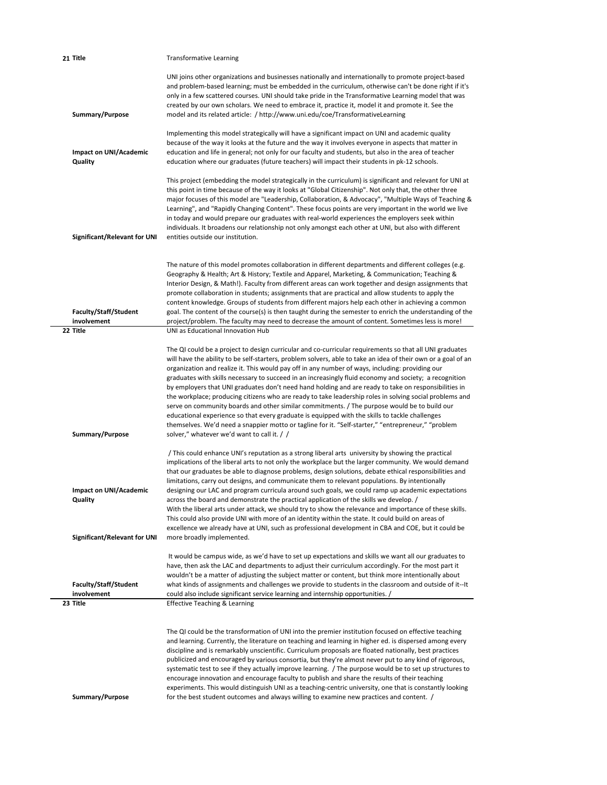| 21 Title                                                                 | <b>Transformative Learning</b>                                                                                                                                                                                                                                                                                                                                                                                                                                                                                                                                                                                                                                                                                                                                                                                                                                                                                                                                                                                  |
|--------------------------------------------------------------------------|-----------------------------------------------------------------------------------------------------------------------------------------------------------------------------------------------------------------------------------------------------------------------------------------------------------------------------------------------------------------------------------------------------------------------------------------------------------------------------------------------------------------------------------------------------------------------------------------------------------------------------------------------------------------------------------------------------------------------------------------------------------------------------------------------------------------------------------------------------------------------------------------------------------------------------------------------------------------------------------------------------------------|
| Summary/Purpose                                                          | UNI joins other organizations and businesses nationally and internationally to promote project-based<br>and problem-based learning; must be embedded in the curriculum, otherwise can't be done right if it's<br>only in a few scattered courses. UNI should take pride in the Transformative Learning model that was<br>created by our own scholars. We need to embrace it, practice it, model it and promote it. See the<br>model and its related article: / http://www.uni.edu/coe/TransformativeLearning                                                                                                                                                                                                                                                                                                                                                                                                                                                                                                    |
| Impact on UNI/Academic<br>Quality                                        | Implementing this model strategically will have a significant impact on UNI and academic quality<br>because of the way it looks at the future and the way it involves everyone in aspects that matter in<br>education and life in general; not only for our faculty and students, but also in the area of teacher<br>education where our graduates (future teachers) will impact their students in pk-12 schools.                                                                                                                                                                                                                                                                                                                                                                                                                                                                                                                                                                                               |
| <b>Significant/Relevant for UNI</b>                                      | This project (embedding the model strategically in the curriculum) is significant and relevant for UNI at<br>this point in time because of the way it looks at "Global Citizenship". Not only that, the other three<br>major focuses of this model are "Leadership, Collaboration, & Advocacy", "Multiple Ways of Teaching &<br>Learning", and "Rapidly Changing Content". These focus points are very important in the world we live<br>in today and would prepare our graduates with real-world experiences the employers seek within<br>individuals. It broadens our relationship not only amongst each other at UNI, but also with different<br>entities outside our institution.                                                                                                                                                                                                                                                                                                                           |
| Faculty/Staff/Student<br>involvement<br>22 Title                         | The nature of this model promotes collaboration in different departments and different colleges (e.g.<br>Geography & Health; Art & History; Textile and Apparel, Marketing, & Communication; Teaching &<br>Interior Design, & Math!). Faculty from different areas can work together and design assignments that<br>promote collaboration in students; assignments that are practical and allow students to apply the<br>content knowledge. Groups of students from different majors help each other in achieving a common<br>goal. The content of the course(s) is then taught during the semester to enrich the understanding of the<br>project/problem. The faculty may need to decrease the amount of content. Sometimes less is more!<br>UNI as Educational Innovation Hub                                                                                                                                                                                                                                 |
| Summary/Purpose                                                          | The QI could be a project to design curricular and co-curricular requirements so that all UNI graduates<br>will have the ability to be self-starters, problem solvers, able to take an idea of their own or a goal of an<br>organization and realize it. This would pay off in any number of ways, including: providing our<br>graduates with skills necessary to succeed in an increasingly fluid economy and society; a recognition<br>by employers that UNI graduates don't need hand holding and are ready to take on responsibilities in<br>the workplace; producing citizens who are ready to take leadership roles in solving social problems and<br>serve on community boards and other similar commitments. / The purpose would be to build our<br>educational experience so that every graduate is equipped with the skills to tackle challenges<br>themselves. We'd need a snappier motto or tagline for it. "Self-starter," "entrepreneur," "problem<br>solver," whatever we'd want to call it. / / |
| Impact on UNI/Academic<br>Quality<br><b>Significant/Relevant for UNI</b> | / This could enhance UNI's reputation as a strong liberal arts university by showing the practical<br>implications of the liberal arts to not only the workplace but the larger community. We would demand<br>that our graduates be able to diagnose problems, design solutions, debate ethical responsibilities and<br>limitations, carry out designs, and communicate them to relevant populations. By intentionally<br>designing our LAC and program curricula around such goals, we could ramp up academic expectations<br>across the board and demonstrate the practical application of the skills we develop. /<br>With the liberal arts under attack, we should try to show the relevance and importance of these skills.<br>This could also provide UNI with more of an identity within the state. It could build on areas of<br>excellence we already have at UNI, such as professional development in CBA and COE, but it could be<br>more broadly implemented.                                       |
| <b>Faculty/Staff/Student</b><br>involvement<br>23 Title                  | It would be campus wide, as we'd have to set up expectations and skills we want all our graduates to<br>have, then ask the LAC and departments to adjust their curriculum accordingly. For the most part it<br>wouldn't be a matter of adjusting the subject matter or content, but think more intentionally about<br>what kinds of assignments and challenges we provide to students in the classroom and outside of it--It<br>could also include significant service learning and internship opportunities. /<br><b>Effective Teaching &amp; Learning</b>                                                                                                                                                                                                                                                                                                                                                                                                                                                     |
| Summary/Purpose                                                          | The QI could be the transformation of UNI into the premier institution focused on effective teaching<br>and learning. Currently, the literature on teaching and learning in higher ed. is dispersed among every<br>discipline and is remarkably unscientific. Curriculum proposals are floated nationally, best practices<br>publicized and encouraged by various consortia, but they're almost never put to any kind of rigorous,<br>systematic test to see if they actually improve learning. / The purpose would be to set up structures to<br>encourage innovation and encourage faculty to publish and share the results of their teaching<br>experiments. This would distinguish UNI as a teaching-centric university, one that is constantly looking<br>for the best student outcomes and always willing to examine new practices and content. /                                                                                                                                                         |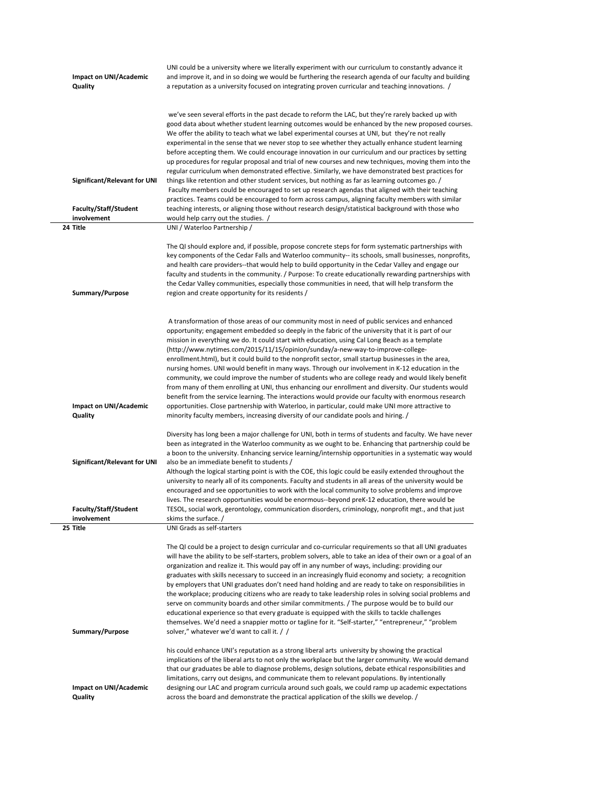| Impact on UNI/Academic                      | UNI could be a university where we literally experiment with our curriculum to constantly advance it<br>and improve it, and in so doing we would be furthering the research agenda of our faculty and building           |
|---------------------------------------------|--------------------------------------------------------------------------------------------------------------------------------------------------------------------------------------------------------------------------|
| Quality                                     | a reputation as a university focused on integrating proven curricular and teaching innovations. /                                                                                                                        |
|                                             |                                                                                                                                                                                                                          |
|                                             | we've seen several efforts in the past decade to reform the LAC, but they're rarely backed up with                                                                                                                       |
|                                             | good data about whether student learning outcomes would be enhanced by the new proposed courses.                                                                                                                         |
|                                             | We offer the ability to teach what we label experimental courses at UNI, but they're not really<br>experimental in the sense that we never stop to see whether they actually enhance student learning                    |
|                                             | before accepting them. We could encourage innovation in our curriculum and our practices by setting                                                                                                                      |
|                                             | up procedures for regular proposal and trial of new courses and new techniques, moving them into the                                                                                                                     |
| <b>Significant/Relevant for UNI</b>         | regular curriculum when demonstrated effective. Similarly, we have demonstrated best practices for<br>things like retention and other student services, but nothing as far as learning outcomes go. /                    |
|                                             | Faculty members could be encouraged to set up research agendas that aligned with their teaching                                                                                                                          |
|                                             | practices. Teams could be encouraged to form across campus, aligning faculty members with similar                                                                                                                        |
| <b>Faculty/Staff/Student</b><br>involvement | teaching interests, or aligning those without research design/statistical background with those who<br>would help carry out the studies. /                                                                               |
| 24 Title                                    | UNI / Waterloo Partnership /                                                                                                                                                                                             |
|                                             |                                                                                                                                                                                                                          |
|                                             | The QI should explore and, if possible, propose concrete steps for form systematic partnerships with<br>key components of the Cedar Falls and Waterloo community-- its schools, small businesses, nonprofits,            |
|                                             | and health care providers--that would help to build opportunity in the Cedar Valley and engage our                                                                                                                       |
|                                             | faculty and students in the community. / Purpose: To create educationally rewarding partnerships with                                                                                                                    |
| Summary/Purpose                             | the Cedar Valley communities, especially those communities in need, that will help transform the<br>region and create opportunity for its residents /                                                                    |
|                                             |                                                                                                                                                                                                                          |
|                                             | A transformation of those areas of our community most in need of public services and enhanced                                                                                                                            |
|                                             | opportunity; engagement embedded so deeply in the fabric of the university that it is part of our                                                                                                                        |
|                                             | mission in everything we do. It could start with education, using Cal Long Beach as a template                                                                                                                           |
|                                             | (http://www.nytimes.com/2015/11/15/opinion/sunday/a-new-way-to-improve-college-<br>enrollment.html), but it could build to the nonprofit sector, small startup businesses in the area,                                   |
|                                             | nursing homes. UNI would benefit in many ways. Through our involvement in K-12 education in the                                                                                                                          |
|                                             | community, we could improve the number of students who are college ready and would likely benefit                                                                                                                        |
|                                             | from many of them enrolling at UNI, thus enhancing our enrollment and diversity. Our students would<br>benefit from the service learning. The interactions would provide our faculty with enormous research              |
| Impact on UNI/Academic                      | opportunities. Close partnership with Waterloo, in particular, could make UNI more attractive to                                                                                                                         |
| Quality                                     | minority faculty members, increasing diversity of our candidate pools and hiring. /                                                                                                                                      |
|                                             | Diversity has long been a major challenge for UNI, both in terms of students and faculty. We have never                                                                                                                  |
|                                             | been as integrated in the Waterloo community as we ought to be. Enhancing that partnership could be                                                                                                                      |
| Significant/Relevant for UNI                | a boon to the university. Enhancing service learning/internship opportunities in a systematic way would<br>also be an immediate benefit to students /                                                                    |
|                                             | Although the logical starting point is with the COE, this logic could be easily extended throughout the                                                                                                                  |
|                                             | university to nearly all of its components. Faculty and students in all areas of the university would be<br>encouraged and see opportunities to work with the local community to solve problems and improve              |
|                                             | lives. The research opportunities would be enormous--beyond preK-12 education, there would be                                                                                                                            |
| <b>Faculty/Staff/Student</b>                | TESOL, social work, gerontology, communication disorders, criminology, nonprofit mgt., and that just                                                                                                                     |
| involvement<br>25 Title                     | skims the surface. /<br>UNI Grads as self-starters                                                                                                                                                                       |
|                                             |                                                                                                                                                                                                                          |
|                                             | The QI could be a project to design curricular and co-curricular requirements so that all UNI graduates<br>will have the ability to be self-starters, problem solvers, able to take an idea of their own or a goal of an |
|                                             | organization and realize it. This would pay off in any number of ways, including: providing our                                                                                                                          |
|                                             | graduates with skills necessary to succeed in an increasingly fluid economy and society; a recognition                                                                                                                   |
|                                             | by employers that UNI graduates don't need hand holding and are ready to take on responsibilities in<br>the workplace; producing citizens who are ready to take leadership roles in solving social problems and          |
|                                             | serve on community boards and other similar commitments. / The purpose would be to build our                                                                                                                             |
|                                             | educational experience so that every graduate is equipped with the skills to tackle challenges                                                                                                                           |
| Summary/Purpose                             | themselves. We'd need a snappier motto or tagline for it. "Self-starter," "entrepreneur," "problem<br>solver," whatever we'd want to call it. / /                                                                        |
|                                             |                                                                                                                                                                                                                          |
|                                             | his could enhance UNI's reputation as a strong liberal arts university by showing the practical<br>implications of the liberal arts to not only the workplace but the larger community. We would demand                  |
|                                             | that our graduates be able to diagnose problems, design solutions, debate ethical responsibilities and                                                                                                                   |
|                                             | limitations, carry out designs, and communicate them to relevant populations. By intentionally                                                                                                                           |
| Impact on UNI/Academic<br>Quality           | designing our LAC and program curricula around such goals, we could ramp up academic expectations<br>across the board and demonstrate the practical application of the skills we develop. /                              |
|                                             |                                                                                                                                                                                                                          |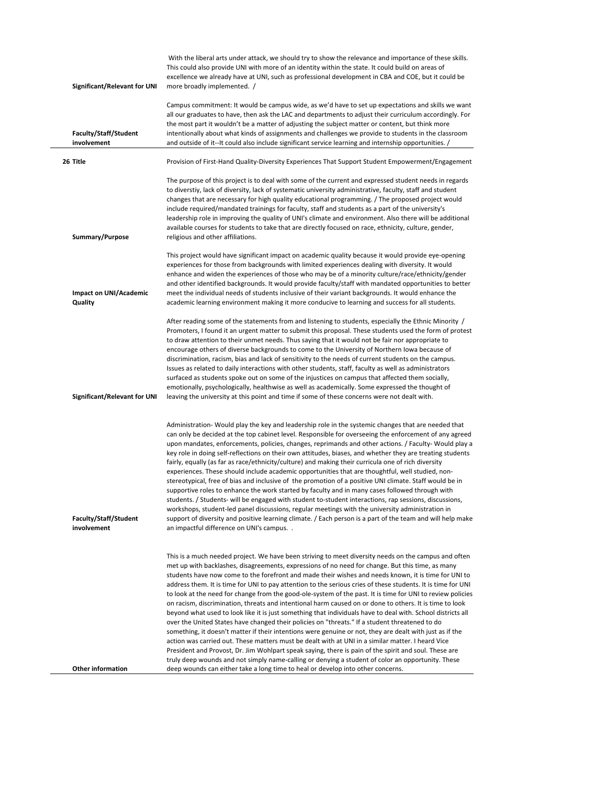| Significant/Relevant for UNI                | With the liberal arts under attack, we should try to show the relevance and importance of these skills.<br>This could also provide UNI with more of an identity within the state. It could build on areas of<br>excellence we already have at UNI, such as professional development in CBA and COE, but it could be<br>more broadly implemented. /                                                                                                                                                                                                                                                                                                                                                                                                                                                                                                                                                                                                                                                                                                                                                                                                                                                                                                                                                                                                                                           |
|---------------------------------------------|----------------------------------------------------------------------------------------------------------------------------------------------------------------------------------------------------------------------------------------------------------------------------------------------------------------------------------------------------------------------------------------------------------------------------------------------------------------------------------------------------------------------------------------------------------------------------------------------------------------------------------------------------------------------------------------------------------------------------------------------------------------------------------------------------------------------------------------------------------------------------------------------------------------------------------------------------------------------------------------------------------------------------------------------------------------------------------------------------------------------------------------------------------------------------------------------------------------------------------------------------------------------------------------------------------------------------------------------------------------------------------------------|
| <b>Faculty/Staff/Student</b><br>involvement | Campus commitment: It would be campus wide, as we'd have to set up expectations and skills we want<br>all our graduates to have, then ask the LAC and departments to adjust their curriculum accordingly. For<br>the most part it wouldn't be a matter of adjusting the subject matter or content, but think more<br>intentionally about what kinds of assignments and challenges we provide to students in the classroom<br>and outside of it--It could also include significant service learning and internship opportunities. /                                                                                                                                                                                                                                                                                                                                                                                                                                                                                                                                                                                                                                                                                                                                                                                                                                                           |
| 26 Title                                    | Provision of First-Hand Quality-Diversity Experiences That Support Student Empowerment/Engagement                                                                                                                                                                                                                                                                                                                                                                                                                                                                                                                                                                                                                                                                                                                                                                                                                                                                                                                                                                                                                                                                                                                                                                                                                                                                                            |
| Summary/Purpose                             | The purpose of this project is to deal with some of the current and expressed student needs in regards<br>to diverstiy, lack of diversity, lack of systematic university administrative, faculty, staff and student<br>changes that are necessary for high quality educational programming. / The proposed project would<br>include required/mandated trainings for faculty, staff and students as a part of the university's<br>leadership role in improving the quality of UNI's climate and environment. Also there will be additional<br>available courses for students to take that are directly focused on race, ethnicity, culture, gender,<br>religious and other affiliations.                                                                                                                                                                                                                                                                                                                                                                                                                                                                                                                                                                                                                                                                                                      |
| Impact on UNI/Academic<br>Quality           | This project would have significant impact on academic quality because it would provide eye-opening<br>experiences for those from backgrounds with limited experiences dealing with diversity. It would<br>enhance and widen the experiences of those who may be of a minority culture/race/ethnicity/gender<br>and other identified backgrounds. It would provide faculty/staff with mandated opportunities to better<br>meet the individual needs of students inclusive of their variant backgrounds. It would enhance the<br>academic learning environment making it more conducive to learning and success for all students.                                                                                                                                                                                                                                                                                                                                                                                                                                                                                                                                                                                                                                                                                                                                                             |
| Significant/Relevant for UNI                | After reading some of the statements from and listening to students, especially the Ethnic Minority /<br>Promoters, I found it an urgent matter to submit this proposal. These students used the form of protest<br>to draw attention to their unmet needs. Thus saying that it would not be fair nor appropriate to<br>encourage others of diverse backgrounds to come to the University of Northern Iowa because of<br>discrimination, racism, bias and lack of sensitivity to the needs of current students on the campus.<br>Issues as related to daily interactions with other students, staff, faculty as well as administrators<br>surfaced as students spoke out on some of the injustices on campus that affected them socially,<br>emotionally, psychologically, healthwise as well as academically. Some expressed the thought of<br>leaving the university at this point and time if some of these concerns were not dealt with.                                                                                                                                                                                                                                                                                                                                                                                                                                                 |
| <b>Faculty/Staff/Student</b><br>involvement | Administration- Would play the key and leadership role in the systemic changes that are needed that<br>can only be decided at the top cabinet level. Responsible for overseeing the enforcement of any agreed<br>upon mandates, enforcements, policies, changes, reprimands and other actions. / Faculty- Would play a<br>key role in doing self-reflections on their own attitudes, biases, and whether they are treating students<br>fairly, equally (as far as race/ethnicity/culture) and making their curricula one of rich diversity<br>experiences. These should include academic opportunities that are thoughtful, well studied, non-<br>stereotypical, free of bias and inclusive of the promotion of a positive UNI climate. Staff would be in<br>supportive roles to enhance the work started by faculty and in many cases followed through with<br>students. / Students- will be engaged with student to-student interactions, rap sessions, discussions,<br>workshops, student-led panel discussions, regular meetings with the university administration in<br>support of diversity and positive learning climate. / Each person is a part of the team and will help make<br>an impactful difference on UNI's campus                                                                                                                                                          |
| <b>Other information</b>                    | This is a much needed project. We have been striving to meet diversity needs on the campus and often<br>met up with backlashes, disagreements, expressions of no need for change. But this time, as many<br>students have now come to the forefront and made their wishes and needs known, it is time for UNI to<br>address them. It is time for UNI to pay attention to the serious cries of these students. It is time for UNI<br>to look at the need for change from the good-ole-system of the past. It is time for UNI to review policies<br>on racism, discrimination, threats and intentional harm caused on or done to others. It is time to look<br>beyond what used to look like it is just something that individuals have to deal with. School districts all<br>over the United States have changed their policies on "threats." If a student threatened to do<br>something, it doesn't matter if their intentions were genuine or not, they are dealt with just as if the<br>action was carried out. These matters must be dealt with at UNI in a similar matter. I heard Vice<br>President and Provost, Dr. Jim Wohlpart speak saying, there is pain of the spirit and soul. These are<br>truly deep wounds and not simply name-calling or denying a student of color an opportunity. These<br>deep wounds can either take a long time to heal or develop into other concerns. |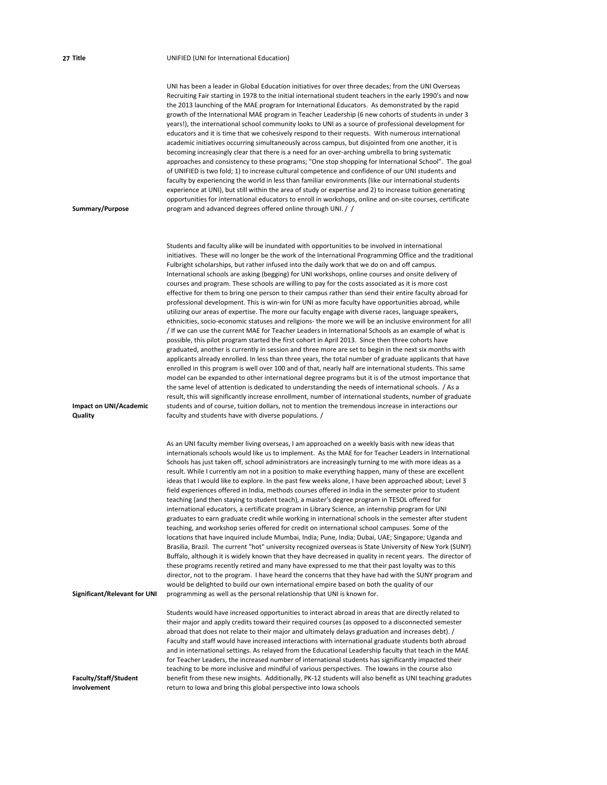## **27 Title** UNIFIED (UNI for International Education)

| Summary/Purpose                             | UNI has been a leader in Global Education initiatives for over three decades; from the UNI Overseas<br>Recruiting Fair starting in 1978 to the initial international student teachers in the early 1990's and now<br>the 2013 launching of the MAE program for International Educators. As demonstrated by the rapid<br>growth of the International MAE program in Teacher Leadership (6 new cohorts of students in under 3<br>years!), the international school community looks to UNI as a source of professional development for<br>educators and it is time that we cohesively respond to their requests. With numerous international<br>academic initiatives occurring simultaneously across campus, but disjointed from one another, it is<br>becoming increasingly clear that there is a need for an over-arching umbrella to bring systematic<br>approaches and consistency to these programs; "One stop shopping for International School". The goal<br>of UNIFIED is two fold; 1) to increase cultural competence and confidence of our UNI students and<br>faculty by experiencing the world in less than familiar environments (like our international students<br>experience at UNI), but still within the area of study or expertise and 2) to increase tuition generating<br>opportunities for international educators to enroll in workshops, online and on-site courses, certificate<br>program and advanced degrees offered online through UNI. / /                                                                                                                                                                                                                                                                                                                                                                                                                                                                                                                                      |
|---------------------------------------------|------------------------------------------------------------------------------------------------------------------------------------------------------------------------------------------------------------------------------------------------------------------------------------------------------------------------------------------------------------------------------------------------------------------------------------------------------------------------------------------------------------------------------------------------------------------------------------------------------------------------------------------------------------------------------------------------------------------------------------------------------------------------------------------------------------------------------------------------------------------------------------------------------------------------------------------------------------------------------------------------------------------------------------------------------------------------------------------------------------------------------------------------------------------------------------------------------------------------------------------------------------------------------------------------------------------------------------------------------------------------------------------------------------------------------------------------------------------------------------------------------------------------------------------------------------------------------------------------------------------------------------------------------------------------------------------------------------------------------------------------------------------------------------------------------------------------------------------------------------------------------------------------------------------------------------------------------------------------------------------------------------|
| Impact on UNI/Academic<br>Quality           | Students and faculty alike will be inundated with opportunities to be involved in international<br>initiatives. These will no longer be the work of the International Programming Office and the traditional<br>Fulbright scholarships, but rather infused into the daily work that we do on and off campus.<br>International schools are asking (begging) for UNI workshops, online courses and onsite delivery of<br>courses and program. These schools are willing to pay for the costs associated as it is more cost<br>effective for them to bring one person to their campus rather than send their entire faculty abroad for<br>professional development. This is win-win for UNI as more faculty have opportunities abroad, while<br>utilizing our areas of expertise. The more our faculty engage with diverse races, language speakers,<br>ethnicities, socio-economic statuses and religions- the more we will be an inclusive environment for all!<br>If we can use the current MAE for Teacher Leaders in International Schools as an example of what is<br>possible, this pilot program started the first cohort in April 2013. Since then three cohorts have<br>graduated, another is currently in session and three more are set to begin in the next six months with<br>applicants already enrolled. In less than three years, the total number of graduate applicants that have<br>enrolled in this program is well over 100 and of that, nearly half are international students. This same<br>model can be expanded to other international degree programs but it is of the utmost importance that<br>the same level of attention is dedicated to understanding the needs of international schools. / As a<br>result, this will significantly increase enrollment, number of international students, number of graduate<br>students and of course, tuition dollars, not to mention the tremendous increase in interactions our<br>faculty and students have with diverse populations. / |
| <b>Significant/Relevant for UNI</b>         | As an UNI faculty member living overseas, I am approached on a weekly basis with new ideas that<br>internationals schools would like us to implement. As the MAE for for Teacher Leaders in International<br>Schools has just taken off, school administrators are increasingly turning to me with more ideas as a<br>result. While I currently am not in a position to make everything happen, many of these are excellent<br>ideas that I would like to explore. In the past few weeks alone, I have been approached about; Level 3<br>field experiences offered in India, methods courses offered in India in the semester prior to student<br>teaching (and then staying to student teach), a master's degree program in TESOL offered for<br>international educators, a certificate program in Library Science, an internship program for UNI<br>graduates to earn graduate credit while working in international schools in the semester after student<br>teaching, and workshop series offered for credit on international school campuses. Some of the<br>locations that have inquired include Mumbai, India; Pune, India; Dubai, UAE; Singapore; Uganda and<br>Brasilia, Brazil. The current "hot" university recognized overseas is State University of New York (SUNY)<br>Buffalo, although it is widely known that they have decreased in quality in recent years. The director of<br>these programs recently retired and many have expressed to me that their past loyalty was to this<br>director, not to the program. I have heard the concerns that they have had with the SUNY program and<br>would be delighted to build our own international empire based on both the quality of our<br>programming as well as the personal relationship that UNI is known for.                                                                                                                                                                                                                        |
| <b>Faculty/Staff/Student</b><br>involvement | Students would have increased opportunities to interact abroad in areas that are directly related to<br>their major and apply credits toward their required courses (as opposed to a disconnected semester<br>abroad that does not relate to their major and ultimately delays graduation and increases debt). /<br>Faculty and staff would have increased interactions with international graduate students both abroad<br>and in international settings. As relayed from the Educational Leadership faculty that teach in the MAE<br>for Teacher Leaders, the increased number of international students has significantly impacted their<br>teaching to be more inclusive and mindful of various perspectives. The lowans in the course also<br>benefit from these new insights. Additionally, PK-12 students will also benefit as UNI teaching gradutes<br>return to lowa and bring this global perspective into Iowa schools                                                                                                                                                                                                                                                                                                                                                                                                                                                                                                                                                                                                                                                                                                                                                                                                                                                                                                                                                                                                                                                                          |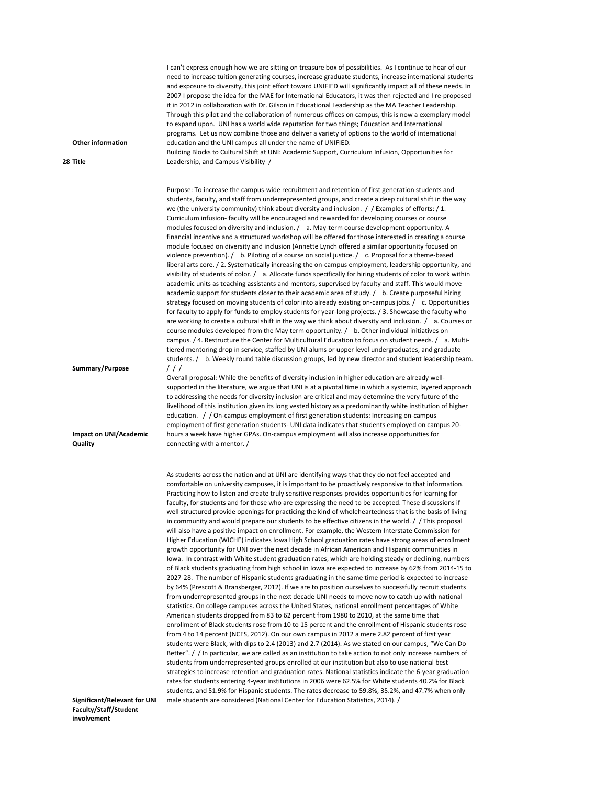| <b>Other information</b><br>28 Title     | I can't express enough how we are sitting on treasure box of possibilities. As I continue to hear of our<br>need to increase tuition generating courses, increase graduate students, increase international students<br>and exposure to diversity, this joint effort toward UNIFIED will significantly impact all of these needs. In<br>2007 I propose the idea for the MAE for International Educators, it was then rejected and I re-proposed<br>it in 2012 in collaboration with Dr. Gilson in Educational Leadership as the MA Teacher Leadership.<br>Through this pilot and the collaboration of numerous offices on campus, this is now a exemplary model<br>to expand upon. UNI has a world wide reputation for two things; Education and International<br>programs. Let us now combine those and deliver a variety of options to the world of international<br>education and the UNI campus all under the name of UNIFIED.<br>Building Blocks to Cultural Shift at UNI: Academic Support, Curriculum Infusion, Opportunities for<br>Leadership, and Campus Visibility /                                                                                                                                                                                                                                                                                                                                                                                                                                                                                                                                                                                                                                                                                                                                                                                                                                                                                                                                                                                                                                                                                                                                                                                                                                                                                                                                                                                                                                                                                        |
|------------------------------------------|------------------------------------------------------------------------------------------------------------------------------------------------------------------------------------------------------------------------------------------------------------------------------------------------------------------------------------------------------------------------------------------------------------------------------------------------------------------------------------------------------------------------------------------------------------------------------------------------------------------------------------------------------------------------------------------------------------------------------------------------------------------------------------------------------------------------------------------------------------------------------------------------------------------------------------------------------------------------------------------------------------------------------------------------------------------------------------------------------------------------------------------------------------------------------------------------------------------------------------------------------------------------------------------------------------------------------------------------------------------------------------------------------------------------------------------------------------------------------------------------------------------------------------------------------------------------------------------------------------------------------------------------------------------------------------------------------------------------------------------------------------------------------------------------------------------------------------------------------------------------------------------------------------------------------------------------------------------------------------------------------------------------------------------------------------------------------------------------------------------------------------------------------------------------------------------------------------------------------------------------------------------------------------------------------------------------------------------------------------------------------------------------------------------------------------------------------------------------------------------------------------------------------------------------------------------------|
| Summary/Purpose                          | Purpose: To increase the campus-wide recruitment and retention of first generation students and<br>students, faculty, and staff from underrepresented groups, and create a deep cultural shift in the way<br>we (the university community) think about diversity and inclusion. $\frac{1}{2}$ Examples of efforts: $\frac{1}{2}$ .<br>Curriculum infusion- faculty will be encouraged and rewarded for developing courses or course<br>modules focused on diversity and inclusion. / a. May-term course development opportunity. A<br>financial incentive and a structured workshop will be offered for those interested in creating a course<br>module focused on diversity and inclusion (Annette Lynch offered a similar opportunity focused on<br>violence prevention). / b. Piloting of a course on social justice. / c. Proposal for a theme-based<br>liberal arts core. / 2. Systematically increasing the on-campus employment, leadership opportunity, and<br>visibility of students of color. / a. Allocate funds specifically for hiring students of color to work within<br>academic units as teaching assistants and mentors, supervised by faculty and staff. This would move<br>academic support for students closer to their academic area of study. / b. Create purposeful hiring<br>strategy focused on moving students of color into already existing on-campus jobs. / c. Opportunities<br>for faculty to apply for funds to employ students for year-long projects. / 3. Showcase the faculty who<br>are working to create a cultural shift in the way we think about diversity and inclusion. $/$ a. Courses or<br>course modules developed from the May term opportunity. / b. Other individual initiatives on<br>campus. / 4. Restructure the Center for Multicultural Education to focus on student needs. / a. Multi-<br>tiered mentoring drop in service, staffed by UNI alums or upper level undergraduates, and graduate<br>students. / b. Weekly round table discussion groups, led by new director and student leadership team.<br>111                                                                                                                                                                                                                                                                                                                                                                                                                                                                                                  |
| <b>Impact on UNI/Academic</b><br>Quality | Overall proposal: While the benefits of diversity inclusion in higher education are already well-<br>supported in the literature, we argue that UNI is at a pivotal time in which a systemic, layered approach<br>to addressing the needs for diversity inclusion are critical and may determine the very future of the<br>livelihood of this institution given its long vested history as a predominantly white institution of higher<br>education. / / On-campus employment of first generation students: Increasing on-campus<br>employment of first generation students- UNI data indicates that students employed on campus 20-<br>hours a week have higher GPAs. On-campus employment will also increase opportunities for<br>connecting with a mentor. /                                                                                                                                                                                                                                                                                                                                                                                                                                                                                                                                                                                                                                                                                                                                                                                                                                                                                                                                                                                                                                                                                                                                                                                                                                                                                                                                                                                                                                                                                                                                                                                                                                                                                                                                                                                                        |
|                                          | As students across the nation and at UNI are identifying ways that they do not feel accepted and<br>comfortable on university campuses, it is important to be proactively responsive to that information.<br>Practicing how to listen and create truly sensitive responses provides opportunities for learning for<br>faculty, for students and for those who are expressing the need to be accepted. These discussions if<br>well structured provide openings for practicing the kind of wholeheartedness that is the basis of living<br>in community and would prepare our students to be effective citizens in the world. / / This proposal<br>will also have a positive impact on enrollment. For example, the Western Interstate Commission for<br>Higher Education (WICHE) indicates lowa High School graduation rates have strong areas of enrollment<br>growth opportunity for UNI over the next decade in African American and Hispanic communities in<br>lowa. In contrast with White student graduation rates, which are holding steady or declining, numbers<br>of Black students graduating from high school in Iowa are expected to increase by 62% from 2014-15 to<br>2027-28. The number of Hispanic students graduating in the same time period is expected to increase<br>by 64% (Prescott & Bransberger, 2012). If we are to position ourselves to successfully recruit students<br>from underrepresented groups in the next decade UNI needs to move now to catch up with national<br>statistics. On college campuses across the United States, national enrollment percentages of White<br>American students dropped from 83 to 62 percent from 1980 to 2010, at the same time that<br>enrollment of Black students rose from 10 to 15 percent and the enrollment of Hispanic students rose<br>from 4 to 14 percent (NCES, 2012). On our own campus in 2012 a mere 2.82 percent of first year<br>students were Black, with dips to 2.4 (2013) and 2.7 (2014). As we stated on our campus, "We Can Do<br>Better". / / In particular, we are called as an institution to take action to not only increase numbers of<br>students from underrepresented groups enrolled at our institution but also to use national best<br>strategies to increase retention and graduation rates. National statistics indicate the 6-year graduation<br>rates for students entering 4-year institutions in 2006 were 62.5% for White students 40.2% for Black<br>students, and 51.9% for Hispanic students. The rates decrease to 59.8%, 35.2%, and 47.7% when only |
|                                          |                                                                                                                                                                                                                                                                                                                                                                                                                                                                                                                                                                                                                                                                                                                                                                                                                                                                                                                                                                                                                                                                                                                                                                                                                                                                                                                                                                                                                                                                                                                                                                                                                                                                                                                                                                                                                                                                                                                                                                                                                                                                                                                                                                                                                                                                                                                                                                                                                                                                                                                                                                        |

**involvement**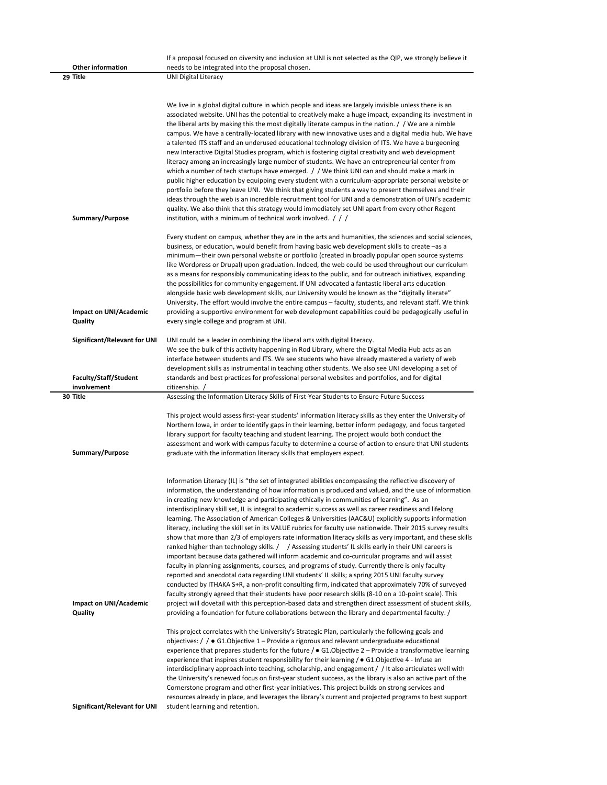| <b>Other information</b>                    | If a proposal focused on diversity and inclusion at UNI is not selected as the QIP, we strongly believe it<br>needs to be integrated into the proposal chosen.                                                                                                                                                                                                                                                                                                                                                                                                                                                                                                                                                                                                                                                                                                                                                                                                                                                                                                                                                                                                                                                                                                                                                                                                                                                                                                                                                                                                                                                     |
|---------------------------------------------|--------------------------------------------------------------------------------------------------------------------------------------------------------------------------------------------------------------------------------------------------------------------------------------------------------------------------------------------------------------------------------------------------------------------------------------------------------------------------------------------------------------------------------------------------------------------------------------------------------------------------------------------------------------------------------------------------------------------------------------------------------------------------------------------------------------------------------------------------------------------------------------------------------------------------------------------------------------------------------------------------------------------------------------------------------------------------------------------------------------------------------------------------------------------------------------------------------------------------------------------------------------------------------------------------------------------------------------------------------------------------------------------------------------------------------------------------------------------------------------------------------------------------------------------------------------------------------------------------------------------|
| 29 Title                                    | <b>UNI Digital Literacy</b>                                                                                                                                                                                                                                                                                                                                                                                                                                                                                                                                                                                                                                                                                                                                                                                                                                                                                                                                                                                                                                                                                                                                                                                                                                                                                                                                                                                                                                                                                                                                                                                        |
| Summary/Purpose                             | We live in a global digital culture in which people and ideas are largely invisible unless there is an<br>associated website. UNI has the potential to creatively make a huge impact, expanding its investment in<br>the liberal arts by making this the most digitally literate campus in the nation. / / We are a nimble<br>campus. We have a centrally-located library with new innovative uses and a digital media hub. We have<br>a talented ITS staff and an underused educational technology division of ITS. We have a burgeoning<br>new Interactive Digital Studies program, which is fostering digital creativity and web development<br>literacy among an increasingly large number of students. We have an entrepreneurial center from<br>which a number of tech startups have emerged. / We think UNI can and should make a mark in<br>public higher education by equipping every student with a curriculum-appropriate personal website or<br>portfolio before they leave UNI. We think that giving students a way to present themselves and their<br>ideas through the web is an incredible recruitment tool for UNI and a demonstration of UNI's academic<br>quality. We also think that this strategy would immediately set UNI apart from every other Regent<br>institution, with a minimum of technical work involved. $\frac{1}{1}$                                                                                                                                                                                                                                                            |
|                                             |                                                                                                                                                                                                                                                                                                                                                                                                                                                                                                                                                                                                                                                                                                                                                                                                                                                                                                                                                                                                                                                                                                                                                                                                                                                                                                                                                                                                                                                                                                                                                                                                                    |
| Impact on UNI/Academic<br>Quality           | Every student on campus, whether they are in the arts and humanities, the sciences and social sciences,<br>business, or education, would benefit from having basic web development skills to create -as a<br>minimum—their own personal website or portfolio (created in broadly popular open source systems<br>like Wordpress or Drupal) upon graduation. Indeed, the web could be used throughout our curriculum<br>as a means for responsibly communicating ideas to the public, and for outreach initiatives, expanding<br>the possibilities for community engagement. If UNI advocated a fantastic liberal arts education<br>alongside basic web development skills, our University would be known as the "digitally literate"<br>University. The effort would involve the entire campus - faculty, students, and relevant staff. We think<br>providing a supportive environment for web development capabilities could be pedagogically useful in<br>every single college and program at UNI.                                                                                                                                                                                                                                                                                                                                                                                                                                                                                                                                                                                                                |
| Significant/Relevant for UNI                | UNI could be a leader in combining the liberal arts with digital literacy.                                                                                                                                                                                                                                                                                                                                                                                                                                                                                                                                                                                                                                                                                                                                                                                                                                                                                                                                                                                                                                                                                                                                                                                                                                                                                                                                                                                                                                                                                                                                         |
|                                             | We see the bulk of this activity happening in Rod Library, where the Digital Media Hub acts as an<br>interface between students and ITS. We see students who have already mastered a variety of web                                                                                                                                                                                                                                                                                                                                                                                                                                                                                                                                                                                                                                                                                                                                                                                                                                                                                                                                                                                                                                                                                                                                                                                                                                                                                                                                                                                                                |
|                                             | development skills as instrumental in teaching other students. We also see UNI developing a set of                                                                                                                                                                                                                                                                                                                                                                                                                                                                                                                                                                                                                                                                                                                                                                                                                                                                                                                                                                                                                                                                                                                                                                                                                                                                                                                                                                                                                                                                                                                 |
| <b>Faculty/Staff/Student</b><br>involvement | standards and best practices for professional personal websites and portfolios, and for digital<br>citizenship. /                                                                                                                                                                                                                                                                                                                                                                                                                                                                                                                                                                                                                                                                                                                                                                                                                                                                                                                                                                                                                                                                                                                                                                                                                                                                                                                                                                                                                                                                                                  |
| 30 Title                                    | Assessing the Information Literacy Skills of First-Year Students to Ensure Future Success                                                                                                                                                                                                                                                                                                                                                                                                                                                                                                                                                                                                                                                                                                                                                                                                                                                                                                                                                                                                                                                                                                                                                                                                                                                                                                                                                                                                                                                                                                                          |
| Summary/Purpose                             | This project would assess first-year students' information literacy skills as they enter the University of<br>Northern Iowa, in order to identify gaps in their learning, better inform pedagogy, and focus targeted<br>library support for faculty teaching and student learning. The project would both conduct the<br>assessment and work with campus faculty to determine a course of action to ensure that UNI students<br>graduate with the information literacy skills that employers expect.                                                                                                                                                                                                                                                                                                                                                                                                                                                                                                                                                                                                                                                                                                                                                                                                                                                                                                                                                                                                                                                                                                               |
| Impact on UNI/Academic<br>Quality           | Information Literacy (IL) is "the set of integrated abilities encompassing the reflective discovery of<br>information, the understanding of how information is produced and valued, and the use of information<br>in creating new knowledge and participating ethically in communities of learning". As an<br>interdisciplinary skill set, IL is integral to academic success as well as career readiness and lifelong<br>learning. The Association of American Colleges & Universities (AAC&U) explicitly supports information<br>literacy, including the skill set in its VALUE rubrics for faculty use nationwide. Their 2015 survey results<br>show that more than 2/3 of employers rate information literacy skills as very important, and these skills<br>ranked higher than technology skills. / / Assessing students' IL skills early in their UNI careers is<br>important because data gathered will inform academic and co-curricular programs and will assist<br>faculty in planning assignments, courses, and programs of study. Currently there is only faculty-<br>reported and anecdotal data regarding UNI students' IL skills; a spring 2015 UNI faculty survey<br>conducted by ITHAKA S+R, a non-profit consulting firm, indicated that approximately 70% of surveyed<br>faculty strongly agreed that their students have poor research skills (8-10 on a 10-point scale). This<br>project will dovetail with this perception-based data and strengthen direct assessment of student skills,<br>providing a foundation for future collaborations between the library and departmental faculty. / |
| Significant/Relevant for UNI                | This project correlates with the University's Strategic Plan, particularly the following goals and<br>objectives: $\frac{1}{2}$ $\bullet$ G1.0 bjective 1 – Provide a rigorous and relevant undergraduate educational<br>experience that prepares students for the future / $\bullet$ G1.0bjective 2 – Provide a transformative learning<br>experience that inspires student responsibility for their learning / $\bullet$ G1. Objective 4 - Infuse an<br>interdisciplinary approach into teaching, scholarship, and engagement / / It also articulates well with<br>the University's renewed focus on first-year student success, as the library is also an active part of the<br>Cornerstone program and other first-year initiatives. This project builds on strong services and<br>resources already in place, and leverages the library's current and projected programs to best support<br>student learning and retention.                                                                                                                                                                                                                                                                                                                                                                                                                                                                                                                                                                                                                                                                                   |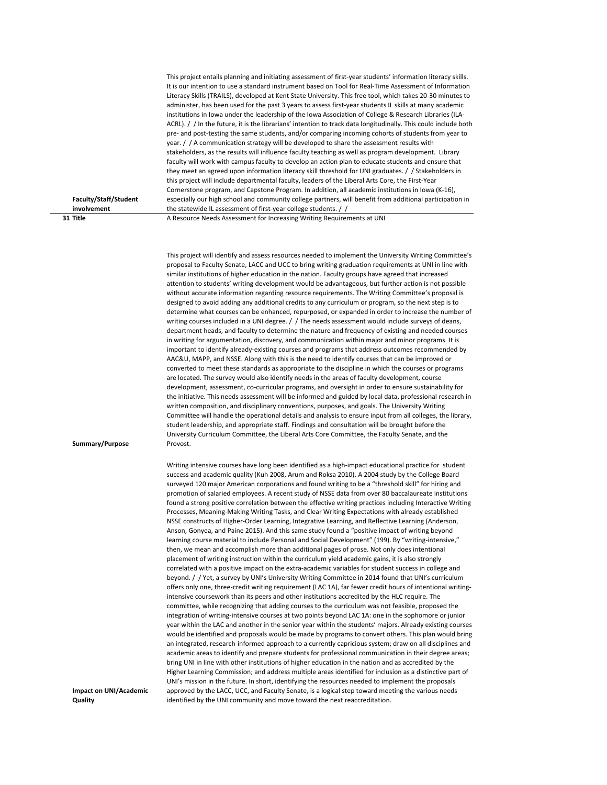|                       | This project entails planning and initiating assessment of first-year students' information literacy skills.  |
|-----------------------|---------------------------------------------------------------------------------------------------------------|
|                       | It is our intention to use a standard instrument based on Tool for Real-Time Assessment of Information        |
|                       | Literacy Skills (TRAILS), developed at Kent State University. This free tool, which takes 20-30 minutes to    |
|                       | administer, has been used for the past 3 years to assess first-year students IL skills at many academic       |
|                       | institutions in lowa under the leadership of the Iowa Association of College & Research Libraries (ILA-       |
|                       | ACRL). / In the future, it is the librarians' intention to track data longitudinally. This could include both |
|                       | pre- and post-testing the same students, and/or comparing incoming cohorts of students from year to           |
|                       | year. $\frac{1}{1}$ A communication strategy will be developed to share the assessment results with           |
|                       | stakeholders, as the results will influence faculty teaching as well as program development. Library          |
|                       | faculty will work with campus faculty to develop an action plan to educate students and ensure that           |
|                       | they meet an agreed upon information literacy skill threshold for UNI graduates. / / Stakeholders in          |
|                       | this project will include departmental faculty, leaders of the Liberal Arts Core, the First-Year              |
|                       | Cornerstone program, and Capstone Program. In addition, all academic institutions in Iowa (K-16),             |
| Faculty/Staff/Student | especially our high school and community college partners, will benefit from additional participation in      |
| involvement           | the statewide IL assessment of first-year college students. / /                                               |
| 31 Title              | A Resource Needs Assessment for Increasing Writing Requirements at UNI                                        |

This project will identify and assess resources needed to implement the University Writing Committee's proposal to Faculty Senate, LACC and UCC to bring writing graduation requirements at UNI in line with similar institutions of higher education in the nation. Faculty groups have agreed that increased attention to students' writing development would be advantageous, but further action is not possible without accurate information regarding resource requirements. The Writing Committee's proposal is designed to avoid adding any additional credits to any curriculum or program, so the next step is to determine what courses can be enhanced, repurposed, or expanded in order to increase the number of writing courses included in a UNI degree. / / The needs assessment would include surveys of deans, department heads, and faculty to determine the nature and frequency of existing and needed courses in writing for argumentation, discovery, and communication within major and minor programs. It is important to identify already‐existing courses and programs that address outcomes recommended by AAC&U, MAPP, and NSSE. Along with this is the need to identify courses that can be improved or converted to meet these standards as appropriate to the discipline in which the courses or programs are located. The survey would also identify needs in the areas of faculty development, course development, assessment, co-curricular programs, and oversight in order to ensure sustainability for the initiative. This needs assessment will be informed and guided by local data, professional research in written composition, and disciplinary conventions, purposes, and goals. The University Writing Committee will handle the operational details and analysis to ensure input from all colleges, the library, student leadership, and appropriate staff. Findings and consultation will be brought before the University Curriculum Committee, the Liberal Arts Core Committee, the Faculty Senate, and the Provost.

Writing intensive courses have long been identified as a high-impact educational practice for student success and academic quality (Kuh 2008, Arum and Roksa 2010). A 2004 study by the College Board surveyed 120 major American corporations and found writing to be a "threshold skill" for hiring and promotion of salaried employees. A recent study of NSSE data from over 80 baccalaureate institutions found a strong positive correlation between the effective writing practices including Interactive Writing Processes, Meaning‐Making Writing Tasks, and Clear Writing Expectations with already established NSSE constructs of Higher‐Order Learning, Integrative Learning, and Reflective Learning (Anderson, Anson, Gonyea, and Paine 2015). And this same study found a "positive impact of writing beyond learning course material to include Personal and Social Development" (199). By "writing-intensive," then, we mean and accomplish more than additional pages of prose. Not only does intentional placement of writing instruction within the curriculum yield academic gains, it is also strongly correlated with a positive impact on the extra‐academic variables for student success in college and beyond. / / Yet, a survey by UNI's University Writing Committee in 2014 found that UNI's curriculum offers only one, three‐credit writing requirement (LAC 1A), far fewer credit hours of intentional writing‐ intensive coursework than its peers and other institutions accredited by the HLC require. The committee, while recognizing that adding courses to the curriculum was not feasible, proposed the integration of writing-intensive courses at two points beyond LAC 1A: one in the sophomore or junior year within the LAC and another in the senior year within the students' majors. Already existing courses would be identified and proposals would be made by programs to convert others. This plan would bring an integrated, research‐informed approach to a currently capricious system; draw on all disciplines and academic areas to identify and prepare students for professional communication in their degree areas; bring UNI in line with other institutions of higher education in the nation and as accredited by the Higher Learning Commission; and address multiple areas identified for inclusion as a distinctive part of UNI's mission in the future. In short, identifying the resources needed to implement the proposals approved by the LACC, UCC, and Faculty Senate, is a logical step toward meeting the various needs identified by the UNI community and move toward the next reaccreditation.

**Impact on UNI/Academic Quality**

**Summary/Purpose**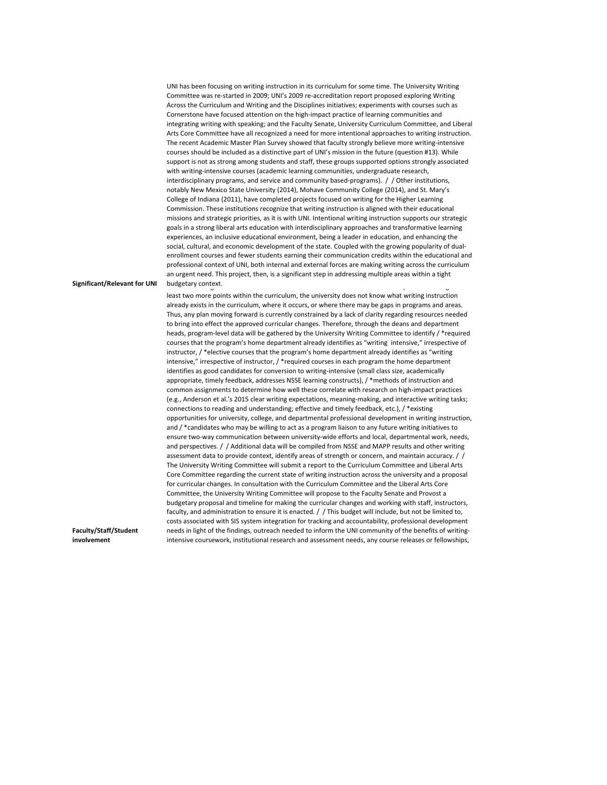| <b>Significant/Relevant for UNI</b> | UNI has been focusing on writing instruction in its curriculum for some time. The University Writing<br>Committee was re-started in 2009; UNI's 2009 re-accreditation report proposed exploring Writing<br>Across the Curriculum and Writing and the Disciplines initiatives; experiments with courses such as<br>Cornerstone have focused attention on the high-impact practice of learning communities and<br>integrating writing with speaking; and the Faculty Senate, University Curriculum Committee, and Liberal<br>Arts Core Committee have all recognized a need for more intentional approaches to writing instruction.<br>The recent Academic Master Plan Survey showed that faculty strongly believe more writing-intensive<br>courses should be included as a distinctive part of UNI's mission in the future (question #13). While<br>support is not as strong among students and staff, these groups supported options strongly associated<br>with writing-intensive courses (academic learning communities, undergraduate research,<br>interdisciplinary programs, and service and community based-programs). / Other institutions,<br>notably New Mexico State University (2014), Mohave Community College (2014), and St. Mary's<br>College of Indiana (2011), have completed projects focused on writing for the Higher Learning<br>Commission. These institutions recognize that writing instruction is aligned with their educational<br>missions and strategic priorities, as it is with UNI. Intentional writing instruction supports our strategic<br>goals in a strong liberal arts education with interdisciplinary approaches and transformative learning<br>experiences, an inclusive educational environment, being a leader in education, and enhancing the<br>social, cultural, and economic development of the state. Coupled with the growing popularity of dual-<br>enrollment courses and fewer students earning their communication credits within the educational and<br>professional context of UNI, both internal and external forces are making writing across the curriculum<br>an urgent need. This project, then, is a significant step in addressing multiple areas within a tight<br>budgetary context.                                                                                                                                                                                                                                                                                                          |
|-------------------------------------|---------------------------------------------------------------------------------------------------------------------------------------------------------------------------------------------------------------------------------------------------------------------------------------------------------------------------------------------------------------------------------------------------------------------------------------------------------------------------------------------------------------------------------------------------------------------------------------------------------------------------------------------------------------------------------------------------------------------------------------------------------------------------------------------------------------------------------------------------------------------------------------------------------------------------------------------------------------------------------------------------------------------------------------------------------------------------------------------------------------------------------------------------------------------------------------------------------------------------------------------------------------------------------------------------------------------------------------------------------------------------------------------------------------------------------------------------------------------------------------------------------------------------------------------------------------------------------------------------------------------------------------------------------------------------------------------------------------------------------------------------------------------------------------------------------------------------------------------------------------------------------------------------------------------------------------------------------------------------------------------------------------------------------------------------------------------------------------------------------------------------------------------------------------------------------------------------------------------------------------------------------------------------------------------------------------------------------------------------------------------------------------------------------------------------------------------------------------------------------------------------------------------------------------------------------------|
|                                     | least two more points within the curriculum, the university does not know what writing instruction<br>already exists in the curriculum, where it occurs, or where there may be gaps in programs and areas.<br>Thus, any plan moving forward is currently constrained by a lack of clarity regarding resources needed<br>to bring into effect the approved curricular changes. Therefore, through the deans and department<br>heads, program-level data will be gathered by the University Writing Committee to identify / *required<br>courses that the program's home department already identifies as "writing intensive," irrespective of<br>instructor, / *elective courses that the program's home department already identifies as "writing<br>intensive," irrespective of instructor, / *required courses in each program the home department<br>identifies as good candidates for conversion to writing-intensive (small class size, academically<br>appropriate, timely feedback, addresses NSSE learning constructs), / *methods of instruction and<br>common assignments to determine how well these correlate with research on high-impact practices<br>(e.g., Anderson et al.'s 2015 clear writing expectations, meaning-making, and interactive writing tasks;<br>connections to reading and understanding; effective and timely feedback, etc.), / *existing<br>opportunities for university, college, and departmental professional development in writing instruction,<br>and / *candidates who may be willing to act as a program liaison to any future writing initiatives to<br>ensure two-way communication between university-wide efforts and local, departmental work, needs,<br>and perspectives. / / Additional data will be compiled from NSSE and MAPP results and other writing<br>assessment data to provide context, identify areas of strength or concern, and maintain accuracy. / /<br>The University Writing Committee will submit a report to the Curriculum Committee and Liberal Arts<br>Core Committee regarding the current state of writing instruction across the university and a proposal<br>for curricular changes. In consultation with the Curriculum Committee and the Liberal Arts Core<br>Committee, the University Writing Committee will propose to the Faculty Senate and Provost a<br>budgetary proposal and timeline for making the curricular changes and working with staff, instructors,<br>faculty, and administration to ensure it is enacted. / This budget will include, but not be limited to, |
| <b>Faculty/Staff/Student</b>        | costs associated with SIS system integration for tracking and accountability, professional development<br>needs in light of the findings, outreach needed to inform the UNI community of the benefits of writing-                                                                                                                                                                                                                                                                                                                                                                                                                                                                                                                                                                                                                                                                                                                                                                                                                                                                                                                                                                                                                                                                                                                                                                                                                                                                                                                                                                                                                                                                                                                                                                                                                                                                                                                                                                                                                                                                                                                                                                                                                                                                                                                                                                                                                                                                                                                                             |
| involvement                         | intensive coursework, institutional research and assessment needs, any course releases or fellowships,                                                                                                                                                                                                                                                                                                                                                                                                                                                                                                                                                                                                                                                                                                                                                                                                                                                                                                                                                                                                                                                                                                                                                                                                                                                                                                                                                                                                                                                                                                                                                                                                                                                                                                                                                                                                                                                                                                                                                                                                                                                                                                                                                                                                                                                                                                                                                                                                                                                        |